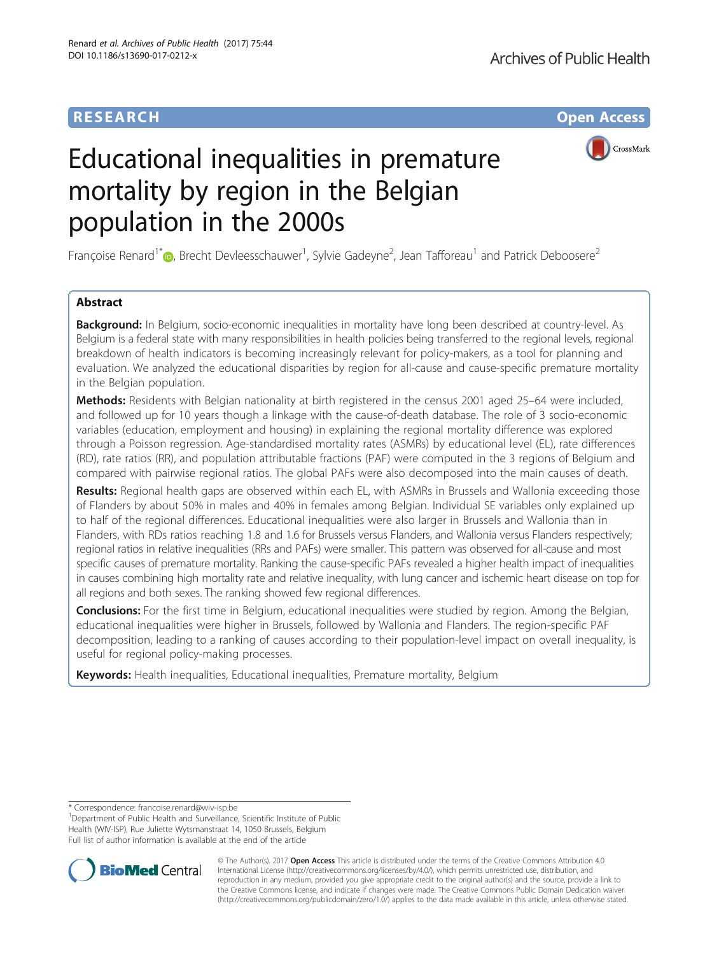# **RESEARCH CHE Open Access**



# Educational inequalities in premature mortality by region in the Belgian population in the 2000s

Françoise Renard<sup>1\*</sup> (D)[,](http://orcid.org/0000-0002-7184-9779) Brecht Devleesschauwer<sup>1</sup>, Sylvie Gadeyne<sup>2</sup>, Jean Tafforeau<sup>1</sup> and Patrick Deboosere<sup>2</sup>

# Abstract

Background: In Belgium, socio-economic inequalities in mortality have long been described at country-level. As Belgium is a federal state with many responsibilities in health policies being transferred to the regional levels, regional breakdown of health indicators is becoming increasingly relevant for policy-makers, as a tool for planning and evaluation. We analyzed the educational disparities by region for all-cause and cause-specific premature mortality in the Belgian population.

Methods: Residents with Belgian nationality at birth registered in the census 2001 aged 25–64 were included, and followed up for 10 years though a linkage with the cause-of-death database. The role of 3 socio-economic variables (education, employment and housing) in explaining the regional mortality difference was explored through a Poisson regression. Age-standardised mortality rates (ASMRs) by educational level (EL), rate differences (RD), rate ratios (RR), and population attributable fractions (PAF) were computed in the 3 regions of Belgium and compared with pairwise regional ratios. The global PAFs were also decomposed into the main causes of death.

Results: Regional health gaps are observed within each EL, with ASMRs in Brussels and Wallonia exceeding those of Flanders by about 50% in males and 40% in females among Belgian. Individual SE variables only explained up to half of the regional differences. Educational inequalities were also larger in Brussels and Wallonia than in Flanders, with RDs ratios reaching 1.8 and 1.6 for Brussels versus Flanders, and Wallonia versus Flanders respectively; regional ratios in relative inequalities (RRs and PAFs) were smaller. This pattern was observed for all-cause and most specific causes of premature mortality. Ranking the cause-specific PAFs revealed a higher health impact of inequalities in causes combining high mortality rate and relative inequality, with lung cancer and ischemic heart disease on top for all regions and both sexes. The ranking showed few regional differences.

Conclusions: For the first time in Belgium, educational inequalities were studied by region. Among the Belgian, educational inequalities were higher in Brussels, followed by Wallonia and Flanders. The region-specific PAF decomposition, leading to a ranking of causes according to their population-level impact on overall inequality, is useful for regional policy-making processes.

Keywords: Health inequalities, Educational inequalities, Premature mortality, Belgium

<sup>&</sup>lt;sup>1</sup>Department of Public Health and Surveillance, Scientific Institute of Public Health (WIV-ISP), Rue Juliette Wytsmanstraat 14, 1050 Brussels, Belgium Full list of author information is available at the end of the article



© The Author(s). 2017 **Open Access** This article is distributed under the terms of the Creative Commons Attribution 4.0 International License [\(http://creativecommons.org/licenses/by/4.0/](http://creativecommons.org/licenses/by/4.0/)), which permits unrestricted use, distribution, and reproduction in any medium, provided you give appropriate credit to the original author(s) and the source, provide a link to the Creative Commons license, and indicate if changes were made. The Creative Commons Public Domain Dedication waiver [\(http://creativecommons.org/publicdomain/zero/1.0/](http://creativecommons.org/publicdomain/zero/1.0/)) applies to the data made available in this article, unless otherwise stated.

<sup>\*</sup> Correspondence: [francoise.renard@wiv-isp.be](mailto:francoise.renard@wiv-isp.be) <sup>1</sup>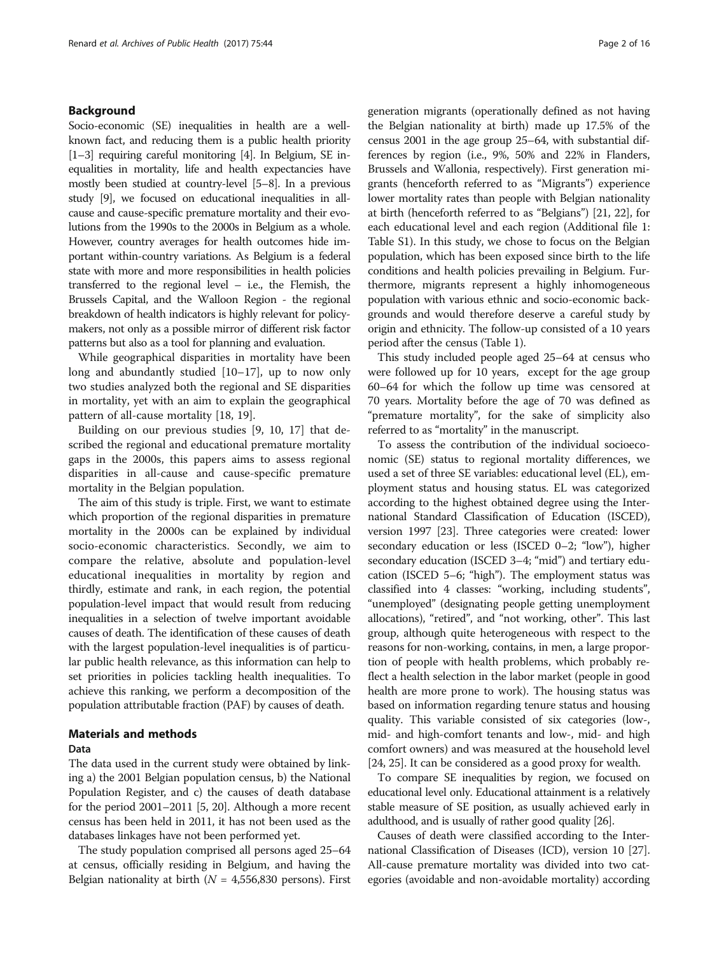#### Background

Socio-economic (SE) inequalities in health are a wellknown fact, and reducing them is a public health priority [[1](#page-14-0)–[3\]](#page-14-0) requiring careful monitoring [\[4\]](#page-14-0). In Belgium, SE inequalities in mortality, life and health expectancies have mostly been studied at country-level [\[5](#page-14-0)–[8](#page-14-0)]. In a previous study [[9](#page-14-0)], we focused on educational inequalities in allcause and cause-specific premature mortality and their evolutions from the 1990s to the 2000s in Belgium as a whole. However, country averages for health outcomes hide important within-country variations. As Belgium is a federal state with more and more responsibilities in health policies transferred to the regional level – i.e., the Flemish, the Brussels Capital, and the Walloon Region - the regional breakdown of health indicators is highly relevant for policymakers, not only as a possible mirror of different risk factor patterns but also as a tool for planning and evaluation.

While geographical disparities in mortality have been long and abundantly studied [[10](#page-14-0)–[17](#page-15-0)], up to now only two studies analyzed both the regional and SE disparities in mortality, yet with an aim to explain the geographical pattern of all-cause mortality [[18](#page-15-0), [19](#page-15-0)].

Building on our previous studies [[9, 10,](#page-14-0) [17](#page-15-0)] that described the regional and educational premature mortality gaps in the 2000s, this papers aims to assess regional disparities in all-cause and cause-specific premature mortality in the Belgian population.

The aim of this study is triple. First, we want to estimate which proportion of the regional disparities in premature mortality in the 2000s can be explained by individual socio-economic characteristics. Secondly, we aim to compare the relative, absolute and population-level educational inequalities in mortality by region and thirdly, estimate and rank, in each region, the potential population-level impact that would result from reducing inequalities in a selection of twelve important avoidable causes of death. The identification of these causes of death with the largest population-level inequalities is of particular public health relevance, as this information can help to set priorities in policies tackling health inequalities. To achieve this ranking, we perform a decomposition of the population attributable fraction (PAF) by causes of death.

#### Materials and methods

#### Data

The data used in the current study were obtained by linking a) the 2001 Belgian population census, b) the National Population Register, and c) the causes of death database for the period 2001–2011 [[5,](#page-14-0) [20](#page-15-0)]. Although a more recent census has been held in 2011, it has not been used as the databases linkages have not been performed yet.

The study population comprised all persons aged 25–64 at census, officially residing in Belgium, and having the Belgian nationality at birth ( $N = 4,556,830$  persons). First generation migrants (operationally defined as not having the Belgian nationality at birth) made up 17.5% of the census 2001 in the age group 25–64, with substantial differences by region (i.e., 9%, 50% and 22% in Flanders, Brussels and Wallonia, respectively). First generation migrants (henceforth referred to as "Migrants") experience lower mortality rates than people with Belgian nationality at birth (henceforth referred to as "Belgians") [\[21, 22\]](#page-15-0), for each educational level and each region (Additional file [1](#page-14-0): Table S1). In this study, we chose to focus on the Belgian population, which has been exposed since birth to the life conditions and health policies prevailing in Belgium. Furthermore, migrants represent a highly inhomogeneous population with various ethnic and socio-economic backgrounds and would therefore deserve a careful study by origin and ethnicity. The follow-up consisted of a 10 years period after the census (Table [1\)](#page-2-0).

This study included people aged 25–64 at census who were followed up for 10 years, except for the age group 60–64 for which the follow up time was censored at 70 years. Mortality before the age of 70 was defined as "premature mortality", for the sake of simplicity also referred to as "mortality" in the manuscript.

To assess the contribution of the individual socioeconomic (SE) status to regional mortality differences, we used a set of three SE variables: educational level (EL), employment status and housing status. EL was categorized according to the highest obtained degree using the International Standard Classification of Education (ISCED), version 1997 [\[23\]](#page-15-0). Three categories were created: lower secondary education or less (ISCED 0–2; "low"), higher secondary education (ISCED 3–4; "mid") and tertiary education (ISCED 5–6; "high"). The employment status was classified into 4 classes: "working, including students", "unemployed" (designating people getting unemployment allocations), "retired", and "not working, other". This last group, although quite heterogeneous with respect to the reasons for non-working, contains, in men, a large proportion of people with health problems, which probably reflect a health selection in the labor market (people in good health are more prone to work). The housing status was based on information regarding tenure status and housing quality. This variable consisted of six categories (low-, mid- and high-comfort tenants and low-, mid- and high comfort owners) and was measured at the household level [[24](#page-15-0), [25\]](#page-15-0). It can be considered as a good proxy for wealth.

To compare SE inequalities by region, we focused on educational level only. Educational attainment is a relatively stable measure of SE position, as usually achieved early in adulthood, and is usually of rather good quality [[26](#page-15-0)].

Causes of death were classified according to the International Classification of Diseases (ICD), version 10 [[27](#page-15-0)]. All-cause premature mortality was divided into two categories (avoidable and non-avoidable mortality) according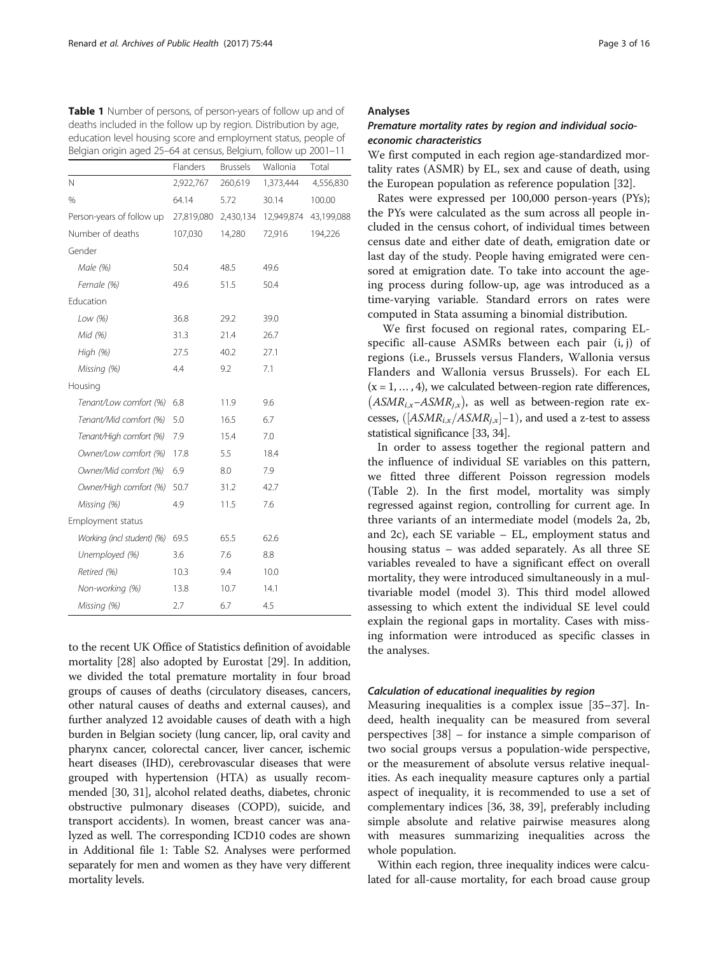<span id="page-2-0"></span>Table 1 Number of persons, of person-years of follow up and of deaths included in the follow up by region. Distribution by age, education level housing score and employment status, people of

| Belgian origin aged 25-64 at census, Belgium, follow up 2001-11 |            |                 |            |            |
|-----------------------------------------------------------------|------------|-----------------|------------|------------|
|                                                                 | Flanders   | <b>Brussels</b> | Wallonia   | Total      |
| N                                                               | 2,922,767  | 260,619         | 1,373,444  | 4,556,830  |
| %                                                               | 64.14      | 5.72            | 30.14      | 100.00     |
| Person-years of follow up                                       | 27,819,080 | 2,430,134       | 12,949,874 | 43,199,088 |
| Number of deaths                                                | 107,030    | 14,280          | 72,916     | 194,226    |
| Gender                                                          |            |                 |            |            |
| Male (%)                                                        | 50.4       | 48.5            | 49.6       |            |
| Female (%)                                                      | 49.6       | 51.5            | 50.4       |            |
| Education                                                       |            |                 |            |            |
| Low (%)                                                         | 36.8       | 29.2            | 39.0       |            |
| Mid (%)                                                         | 31.3       | 21.4            | 26.7       |            |
| High $(%)$                                                      | 27.5       | 40.2            | 27.1       |            |
| Missing (%)                                                     | 4.4        | 9.2             | 7.1        |            |
| Housing                                                         |            |                 |            |            |
| Tenant/Low comfort (%)                                          | 6.8        | 11.9            | 9.6        |            |
| Tenant/Mid comfort (%)                                          | 5.0        | 16.5            | 6.7        |            |
| Tenant/High comfort (%)                                         | 7.9        | 15.4            | 7.0        |            |
| Owner/Low comfort (%)                                           | 17.8       | 5.5             | 18.4       |            |
| Owner/Mid comfort (%)                                           | 6.9        | 8.0             | 7.9        |            |
| Owner/High comfort (%)                                          | 50.7       | 31.2            | 42.7       |            |
| Missing (%)                                                     | 4.9        | 11.5            | 7.6        |            |
| Employment status                                               |            |                 |            |            |
| Working (incl student) (%)                                      | 69.5       | 65.5            | 62.6       |            |
| Unemployed (%)                                                  | 3.6        | 7.6             | 8.8        |            |
| Retired (%)                                                     | 10.3       | 9.4             | 10.0       |            |
| Non-working (%)                                                 | 13.8       | 10.7            | 14.1       |            |
| Missing (%)                                                     | 2.7        | 6.7             | 4.5        |            |

mortality [[28\]](#page-15-0) also adopted by Eurostat [[29](#page-15-0)]. In addition, we divided the total premature mortality in four broad groups of causes of deaths (circulatory diseases, cancers, other natural causes of deaths and external causes), and further analyzed 12 avoidable causes of death with a high burden in Belgian society (lung cancer, lip, oral cavity and pharynx cancer, colorectal cancer, liver cancer, ischemic heart diseases (IHD), cerebrovascular diseases that were grouped with hypertension (HTA) as usually recommended [\[30, 31\]](#page-15-0), alcohol related deaths, diabetes, chronic obstructive pulmonary diseases (COPD), suicide, and transport accidents). In women, breast cancer was analyzed as well. The corresponding ICD10 codes are shown in Additional file [1](#page-14-0): Table S2. Analyses were performed separately for men and women as they have very different mortality levels.

to the recent UK Office of Statistics definition of avoidable

#### Analyses

#### Premature mortality rates by region and individual socioeconomic characteristics

We first computed in each region age-standardized mortality rates (ASMR) by EL, sex and cause of death, using the European population as reference population [[32](#page-15-0)].

Rates were expressed per 100,000 person-years (PYs); the PYs were calculated as the sum across all people included in the census cohort, of individual times between census date and either date of death, emigration date or last day of the study. People having emigrated were censored at emigration date. To take into account the ageing process during follow-up, age was introduced as a time-varying variable. Standard errors on rates were computed in Stata assuming a binomial distribution.

We first focused on regional rates, comparing ELspecific all-cause ASMRs between each pair (i, j) of regions (i.e., Brussels versus Flanders, Wallonia versus Flanders and Wallonia versus Brussels). For each EL  $(x = 1, \ldots, 4)$ , we calculated between-region rate differences,  $(ASMR_{i,x} - ASMR_{j,x})$ , as well as between-region rate excesses,  $([ASMR_{i,x}/ASMR_{j,x}]-1)$ , and used a z-test to assess statistical significance [\[33](#page-15-0), [34](#page-15-0)].

In order to assess together the regional pattern and the influence of individual SE variables on this pattern, we fitted three different Poisson regression models (Table [2\)](#page-3-0). In the first model, mortality was simply regressed against region, controlling for current age. In three variants of an intermediate model (models 2a, 2b, and 2c), each SE variable – EL, employment status and housing status – was added separately. As all three SE variables revealed to have a significant effect on overall mortality, they were introduced simultaneously in a multivariable model (model 3). This third model allowed assessing to which extent the individual SE level could explain the regional gaps in mortality. Cases with missing information were introduced as specific classes in the analyses.

#### Calculation of educational inequalities by region

Measuring inequalities is a complex issue [[35](#page-15-0)–[37](#page-15-0)]. Indeed, health inequality can be measured from several perspectives [\[38](#page-15-0)] – for instance a simple comparison of two social groups versus a population-wide perspective, or the measurement of absolute versus relative inequalities. As each inequality measure captures only a partial aspect of inequality, it is recommended to use a set of complementary indices [[36, 38, 39](#page-15-0)], preferably including simple absolute and relative pairwise measures along with measures summarizing inequalities across the whole population.

Within each region, three inequality indices were calculated for all-cause mortality, for each broad cause group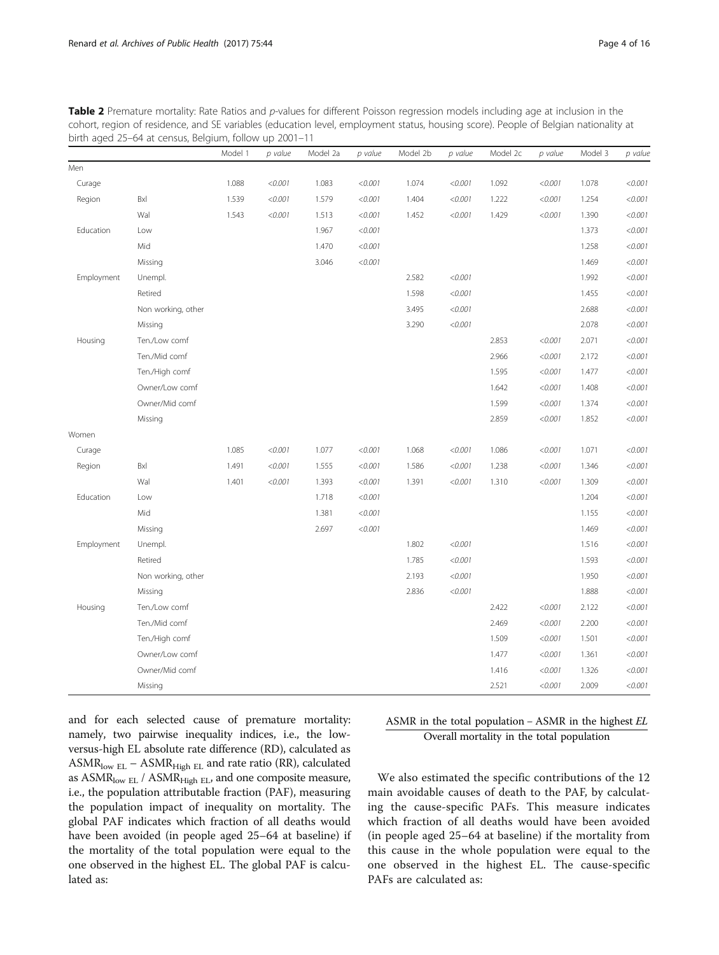<span id="page-3-0"></span>Table 2 Premature mortality: Rate Ratios and p-values for different Poisson regression models including age at inclusion in the cohort, region of residence, and SE variables (education level, employment status, housing score). People of Belgian nationality at birth aged 25–64 at census, Belgium, follow up 2001–11

|            |                    | Model 1 | p value | Model 2a | p value | Model 2b | p value | Model 2c | p value | Model 3 | p value |
|------------|--------------------|---------|---------|----------|---------|----------|---------|----------|---------|---------|---------|
| Men        |                    |         |         |          |         |          |         |          |         |         |         |
| Curage     |                    | 1.088   | < 0.001 | 1.083    | < 0.001 | 1.074    | < 0.001 | 1.092    | < 0.001 | 1.078   | < 0.001 |
| Region     | Bxl                | 1.539   | < 0.001 | 1.579    | < 0.001 | 1.404    | < 0.001 | 1.222    | < 0.001 | 1.254   | < 0.001 |
|            | Wal                | 1.543   | < 0.001 | 1.513    | < 0.001 | 1.452    | < 0.001 | 1.429    | < 0.001 | 1.390   | < 0.001 |
| Education  | Low                |         |         | 1.967    | < 0.001 |          |         |          |         | 1.373   | < 0.001 |
|            | Mid                |         |         | 1.470    | < 0.001 |          |         |          |         | 1.258   | < 0.001 |
|            | Missing            |         |         | 3.046    | < 0.001 |          |         |          |         | 1.469   | < 0.001 |
| Employment | Unempl.            |         |         |          |         | 2.582    | < 0.001 |          |         | 1.992   | < 0.001 |
|            | Retired            |         |         |          |         | 1.598    | < 0.001 |          |         | 1.455   | < 0.001 |
|            | Non working, other |         |         |          |         | 3.495    | < 0.001 |          |         | 2.688   | < 0.001 |
|            | Missing            |         |         |          |         | 3.290    | < 0.001 |          |         | 2.078   | < 0.001 |
| Housing    | Ten./Low comf      |         |         |          |         |          |         | 2.853    | < 0.001 | 2.071   | < 0.001 |
|            | Ten./Mid comf      |         |         |          |         |          |         | 2.966    | < 0.001 | 2.172   | < 0.001 |
|            | Ten./High comf     |         |         |          |         |          |         | 1.595    | < 0.001 | 1.477   | < 0.001 |
|            | Owner/Low comf     |         |         |          |         |          |         | 1.642    | < 0.001 | 1.408   | < 0.001 |
|            | Owner/Mid comf     |         |         |          |         |          |         | 1.599    | < 0.001 | 1.374   | < 0.001 |
|            | Missing            |         |         |          |         |          |         | 2.859    | < 0.001 | 1.852   | < 0.001 |
| Women      |                    |         |         |          |         |          |         |          |         |         |         |
| Curage     |                    | 1.085   | < 0.001 | 1.077    | < 0.001 | 1.068    | < 0.001 | 1.086    | < 0.001 | 1.071   | < 0.001 |
| Region     | Bxl                | 1.491   | < 0.001 | 1.555    | < 0.001 | 1.586    | < 0.001 | 1.238    | < 0.001 | 1.346   | < 0.001 |
|            | Wal                | 1.401   | < 0.001 | 1.393    | < 0.001 | 1.391    | < 0.001 | 1.310    | < 0.001 | 1.309   | < 0.001 |
| Education  | Low                |         |         | 1.718    | < 0.001 |          |         |          |         | 1.204   | < 0.001 |
|            | Mid                |         |         | 1.381    | < 0.001 |          |         |          |         | 1.155   | < 0.001 |
|            | Missing            |         |         | 2.697    | < 0.001 |          |         |          |         | 1.469   | < 0.001 |
| Employment | Unempl.            |         |         |          |         | 1.802    | < 0.001 |          |         | 1.516   | < 0.001 |
|            | Retired            |         |         |          |         | 1.785    | < 0.001 |          |         | 1.593   | < 0.001 |
|            | Non working, other |         |         |          |         | 2.193    | < 0.001 |          |         | 1.950   | < 0.001 |
|            | Missing            |         |         |          |         | 2.836    | < 0.001 |          |         | 1.888   | < 0.001 |
| Housing    | Ten./Low comf      |         |         |          |         |          |         | 2.422    | < 0.001 | 2.122   | < 0.001 |
|            | Ten./Mid comf      |         |         |          |         |          |         | 2.469    | < 0.001 | 2.200   | < 0.001 |
|            | Ten./High comf     |         |         |          |         |          |         | 1.509    | < 0.001 | 1.501   | < 0.001 |
|            | Owner/Low comf     |         |         |          |         |          |         | 1.477    | < 0.001 | 1.361   | < 0.001 |
|            | Owner/Mid comf     |         |         |          |         |          |         | 1.416    | < 0.001 | 1.326   | < 0.001 |
|            | Missing            |         |         |          |         |          |         | 2.521    | < 0.001 | 2.009   | < 0.001 |

and for each selected cause of premature mortality: namely, two pairwise inequality indices, i.e., the lowversus-high EL absolute rate difference (RD), calculated as  ${\rm ASMR}_{\rm low\ EL}$  –  ${\rm ASMR}_{\rm High\ EL}$  and rate ratio (RR), calculated as  $ASMR_{low\ EL}$  /  $ASMR_{High\ EL}$ , and one composite measure, i.e., the population attributable fraction (PAF), measuring the population impact of inequality on mortality. The global PAF indicates which fraction of all deaths would have been avoided (in people aged 25–64 at baseline) if the mortality of the total population were equal to the one observed in the highest EL. The global PAF is calculated as:

ASMR in the total population − ASMR in the highest EL Overall mortality in the total population

We also estimated the specific contributions of the 12 main avoidable causes of death to the PAF, by calculating the cause-specific PAFs. This measure indicates which fraction of all deaths would have been avoided (in people aged 25–64 at baseline) if the mortality from this cause in the whole population were equal to the one observed in the highest EL. The cause-specific PAFs are calculated as: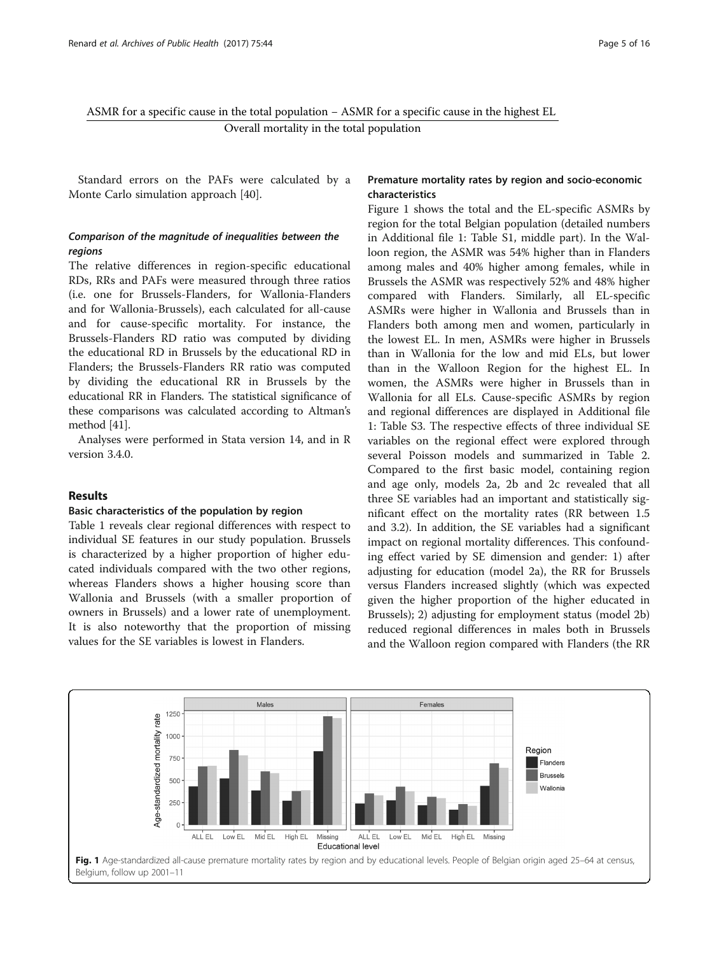ASMR for a specific cause in the total population − ASMR for a specific cause in the highest EL Overall mortality in the total population

Standard errors on the PAFs were calculated by a Monte Carlo simulation approach [[40\]](#page-15-0).

# Comparison of the magnitude of inequalities between the regions

The relative differences in region-specific educational RDs, RRs and PAFs were measured through three ratios (i.e. one for Brussels-Flanders, for Wallonia-Flanders and for Wallonia-Brussels), each calculated for all-cause and for cause-specific mortality. For instance, the Brussels-Flanders RD ratio was computed by dividing the educational RD in Brussels by the educational RD in Flanders; the Brussels-Flanders RR ratio was computed by dividing the educational RR in Brussels by the educational RR in Flanders. The statistical significance of these comparisons was calculated according to Altman's method [\[41\]](#page-15-0).

Analyses were performed in Stata version 14, and in R version 3.4.0.

#### Results

#### Basic characteristics of the population by region

Table [1](#page-2-0) reveals clear regional differences with respect to individual SE features in our study population. Brussels is characterized by a higher proportion of higher educated individuals compared with the two other regions, whereas Flanders shows a higher housing score than Wallonia and Brussels (with a smaller proportion of owners in Brussels) and a lower rate of unemployment. It is also noteworthy that the proportion of missing values for the SE variables is lowest in Flanders.

### Premature mortality rates by region and socio-economic characteristics

Figure 1 shows the total and the EL-specific ASMRs by region for the total Belgian population (detailed numbers in Additional file [1](#page-14-0): Table S1, middle part). In the Walloon region, the ASMR was 54% higher than in Flanders among males and 40% higher among females, while in Brussels the ASMR was respectively 52% and 48% higher compared with Flanders. Similarly, all EL-specific ASMRs were higher in Wallonia and Brussels than in Flanders both among men and women, particularly in the lowest EL. In men, ASMRs were higher in Brussels than in Wallonia for the low and mid ELs, but lower than in the Walloon Region for the highest EL. In women, the ASMRs were higher in Brussels than in Wallonia for all ELs. Cause-specific ASMRs by region and regional differences are displayed in Additional file [1:](#page-14-0) Table S3. The respective effects of three individual SE variables on the regional effect were explored through several Poisson models and summarized in Table [2](#page-3-0). Compared to the first basic model, containing region and age only, models 2a, 2b and 2c revealed that all three SE variables had an important and statistically significant effect on the mortality rates (RR between 1.5 and 3.2). In addition, the SE variables had a significant impact on regional mortality differences. This confounding effect varied by SE dimension and gender: 1) after adjusting for education (model 2a), the RR for Brussels versus Flanders increased slightly (which was expected given the higher proportion of the higher educated in Brussels); 2) adjusting for employment status (model 2b) reduced regional differences in males both in Brussels and the Walloon region compared with Flanders (the RR

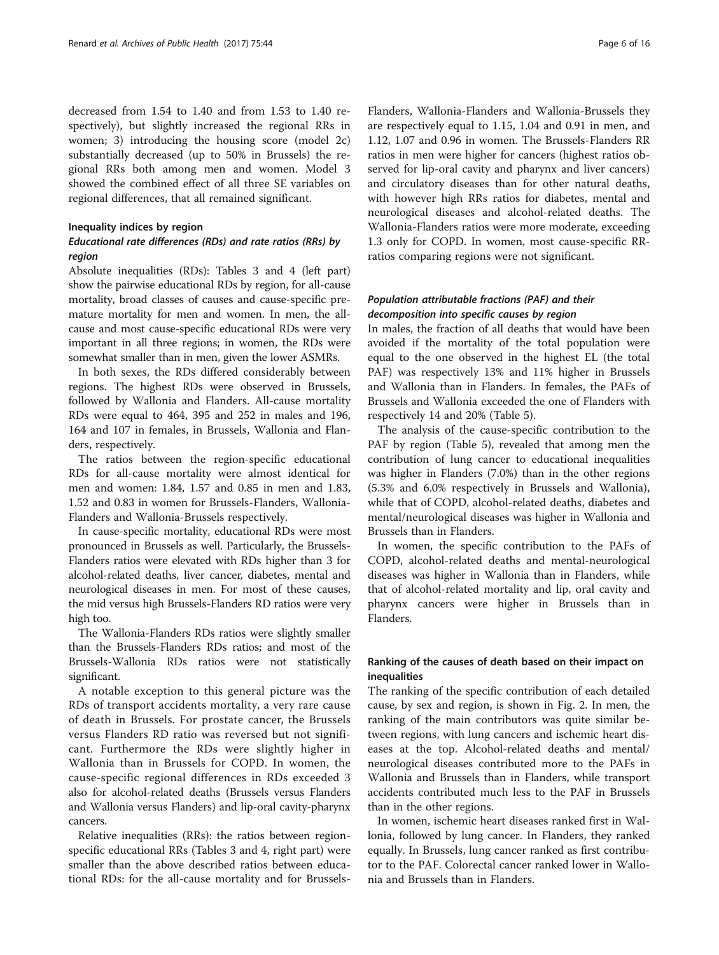decreased from 1.54 to 1.40 and from 1.53 to 1.40 respectively), but slightly increased the regional RRs in women; 3) introducing the housing score (model 2c) substantially decreased (up to 50% in Brussels) the regional RRs both among men and women. Model 3 showed the combined effect of all three SE variables on regional differences, that all remained significant.

#### Inequality indices by region

# Educational rate differences (RDs) and rate ratios (RRs) by region

Absolute inequalities (RDs): Tables [3](#page-6-0) and [4](#page-8-0) (left part) show the pairwise educational RDs by region, for all-cause mortality, broad classes of causes and cause-specific premature mortality for men and women. In men, the allcause and most cause-specific educational RDs were very important in all three regions; in women, the RDs were somewhat smaller than in men, given the lower ASMRs.

In both sexes, the RDs differed considerably between regions. The highest RDs were observed in Brussels, followed by Wallonia and Flanders. All-cause mortality RDs were equal to 464, 395 and 252 in males and 196, 164 and 107 in females, in Brussels, Wallonia and Flanders, respectively.

The ratios between the region-specific educational RDs for all-cause mortality were almost identical for men and women: 1.84, 1.57 and 0.85 in men and 1.83, 1.52 and 0.83 in women for Brussels-Flanders, Wallonia-Flanders and Wallonia-Brussels respectively.

In cause-specific mortality, educational RDs were most pronounced in Brussels as well. Particularly, the Brussels-Flanders ratios were elevated with RDs higher than 3 for alcohol-related deaths, liver cancer, diabetes, mental and neurological diseases in men. For most of these causes, the mid versus high Brussels-Flanders RD ratios were very high too.

The Wallonia-Flanders RDs ratios were slightly smaller than the Brussels-Flanders RDs ratios; and most of the Brussels-Wallonia RDs ratios were not statistically significant.

A notable exception to this general picture was the RDs of transport accidents mortality, a very rare cause of death in Brussels. For prostate cancer, the Brussels versus Flanders RD ratio was reversed but not significant. Furthermore the RDs were slightly higher in Wallonia than in Brussels for COPD. In women, the cause-specific regional differences in RDs exceeded 3 also for alcohol-related deaths (Brussels versus Flanders and Wallonia versus Flanders) and lip-oral cavity-pharynx cancers.

Relative inequalities (RRs): the ratios between regionspecific educational RRs (Tables [3](#page-6-0) and [4](#page-8-0), right part) were smaller than the above described ratios between educational RDs: for the all-cause mortality and for Brussels-

Flanders, Wallonia-Flanders and Wallonia-Brussels they are respectively equal to 1.15, 1.04 and 0.91 in men, and 1.12, 1.07 and 0.96 in women. The Brussels-Flanders RR ratios in men were higher for cancers (highest ratios observed for lip-oral cavity and pharynx and liver cancers) and circulatory diseases than for other natural deaths, with however high RRs ratios for diabetes, mental and neurological diseases and alcohol-related deaths. The Wallonia-Flanders ratios were more moderate, exceeding 1.3 only for COPD. In women, most cause-specific RRratios comparing regions were not significant.

# Population attributable fractions (PAF) and their decomposition into specific causes by region

In males, the fraction of all deaths that would have been avoided if the mortality of the total population were equal to the one observed in the highest EL (the total PAF) was respectively 13% and 11% higher in Brussels and Wallonia than in Flanders. In females, the PAFs of Brussels and Wallonia exceeded the one of Flanders with respectively 14 and 20% (Table [5\)](#page-10-0).

The analysis of the cause-specific contribution to the PAF by region (Table [5](#page-10-0)), revealed that among men the contribution of lung cancer to educational inequalities was higher in Flanders (7.0%) than in the other regions (5.3% and 6.0% respectively in Brussels and Wallonia), while that of COPD, alcohol-related deaths, diabetes and mental/neurological diseases was higher in Wallonia and Brussels than in Flanders.

In women, the specific contribution to the PAFs of COPD, alcohol-related deaths and mental-neurological diseases was higher in Wallonia than in Flanders, while that of alcohol-related mortality and lip, oral cavity and pharynx cancers were higher in Brussels than in Flanders.

# Ranking of the causes of death based on their impact on inequalities

The ranking of the specific contribution of each detailed cause, by sex and region, is shown in Fig. [2.](#page-11-0) In men, the ranking of the main contributors was quite similar between regions, with lung cancers and ischemic heart diseases at the top. Alcohol-related deaths and mental/ neurological diseases contributed more to the PAFs in Wallonia and Brussels than in Flanders, while transport accidents contributed much less to the PAF in Brussels than in the other regions.

In women, ischemic heart diseases ranked first in Wallonia, followed by lung cancer. In Flanders, they ranked equally. In Brussels, lung cancer ranked as first contributor to the PAF. Colorectal cancer ranked lower in Wallonia and Brussels than in Flanders.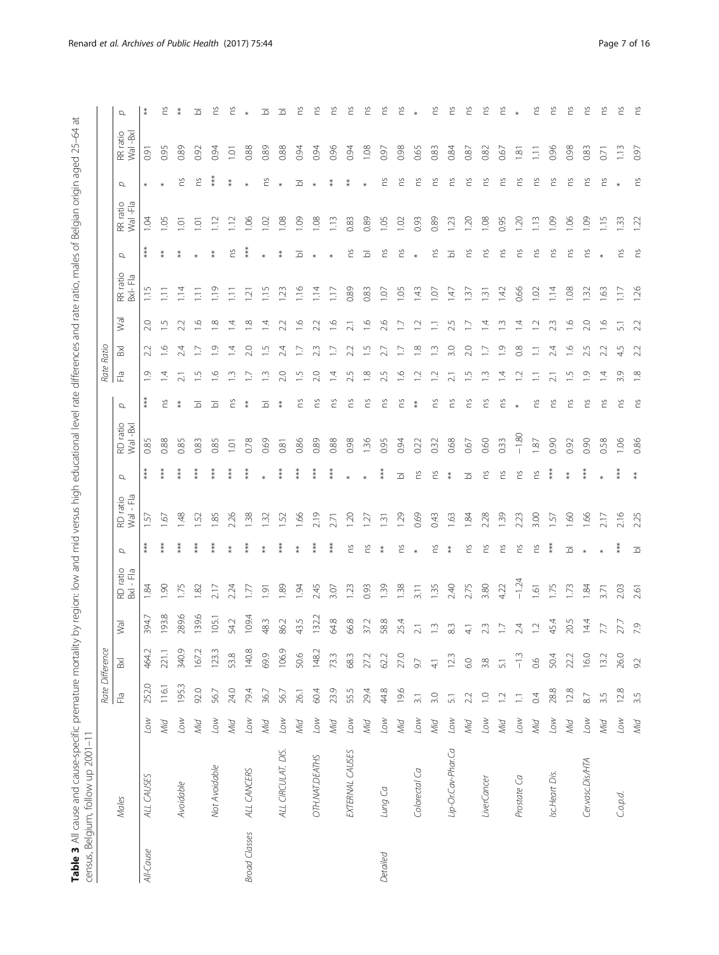<span id="page-6-0"></span>Table 3 All cause and cause-specific premature mortality by region: low and mid versus high educational level rate differences and rate ratio, males of Belgian origin aged 25-64 at Table 3 All cause-specific premature mortality by region: low and mid versus high educational level rate differences and rate ratio, males of Belgian origin aged 25–64 at

|                      | census, Belgium, follow up 2001-11 |              |                       |                 |                         |                                                       |                     |                                           |          |                       |   |                       |                |                         |                                                        |                    |                     |          |                         |        |
|----------------------|------------------------------------|--------------|-----------------------|-----------------|-------------------------|-------------------------------------------------------|---------------------|-------------------------------------------|----------|-----------------------|---|-----------------------|----------------|-------------------------|--------------------------------------------------------|--------------------|---------------------|----------|-------------------------|--------|
|                      |                                    |              |                       | Rate Difference |                         |                                                       |                     |                                           |          |                       |   | Rate Ratio            |                |                         |                                                        |                    |                     |          |                         |        |
|                      | Males                              |              | $\frac{\alpha}{\Box}$ | $\mathbb{R}$    | $\overline{\mathbb{R}}$ | ratio<br>$\frac{1}{\sqrt{2}}$<br>Q<br>$B\overline{X}$ | σ                   | $Wal - Fal$<br>ratio<br>RD.               | $\sigma$ | ratio<br>Wal-Bxl<br>e | σ | $\frac{\sigma}{\Box}$ | $\geq$         | Wal                     | ratio<br>$BxI - FIa$<br>$\underset{\text{R}}{\approx}$ | $\sigma$           | RR ratio<br>Wal-Fla | $\sigma$ | RR ratio<br>$Wal - BxI$ | σ      |
| All-Cause            | ALL CAUSES                         | $_{\rm low}$ | 252.0                 | 464.2           | 394.7                   | 1.84                                                  | ***                 | ŗ.                                        |          | 0.85                  | ¥ | $\overline{0}$        | 2.2            | 2.0                     | 1.15                                                   | ***                | 1.04                |          | $\overline{60}$         | $\ast$ |
|                      |                                    | Nid          | 116.1                 | 221.1           | 193.8                   | $\odot$                                               | $***$               | Ğ.                                        | $***$    | 0.88                  |   | 4.                    | $\frac{6}{1}$  | $\frac{5}{1}$           | $\overline{1}$ .11                                     | $* *$              | $\overline{0}$      |          | 0.95                    | S      |
|                      | Avoidable                          | ΓOΜ          | 195.3                 | 340.9           | 289.6                   | 75                                                    | ***                 | $\stackrel{\textstyle\circ}{\rightarrow}$ | 美米米      | 0.85                  |   | ಸ                     | 24             | 2.2                     | 1.14                                                   | 米米                 | $\overline{O}$      | č        | 0.89                    | 柔      |
|                      |                                    | Nid          | 92.0                  | 167.2           | 139.6                   | 85                                                    | ***                 | S.                                        |          | 0.83                  | ᇰ | LN.                   | Ξ              | $\frac{6}{1}$           | $\Xi$                                                  |                    | $\overline{O}$      | č        | 0.92                    | ᇰ      |
|                      | Not Avoidable                      | NO7          | 56.7                  | 123.3           | 105.1                   | 21Z                                                   | ***                 | 85                                        | ***      | 0.85                  | ᇰ | Φ,                    | Ο.             | $\frac{\infty}{\infty}$ | 1.19                                                   | 米米                 | $\ddot{z}$          | $***$    | 0.94                    | S      |
|                      |                                    | Nid          | 24.0                  | 53.8            | 54.2                    | 2.24                                                  | ŧ                   | 2.26                                      | ***      | $\overline{0}$        |   | w.                    | ₫.             | Ξ.                      | $\Xi$                                                  | č                  | $\sum$              |          | $\overline{a}$          | č      |
| <b>Broad Classes</b> | ALL CANCERS                        | VO7          | 79.4                  | 140.8           | 1094                    | E                                                     | ***                 | 38                                        | ł        | 0.78                  |   |                       | 2.0            | $\frac{8}{1}$           | $\overline{121}$                                       | $*$                | 1.06                |          | 0.88                    |        |
|                      |                                    | Nid          | 36.7                  | 69.9            | 48.3                    | $\overline{Q}$                                        | ŧ                   | $\ddot{\mathcal{S}}$                      |          | 0.69                  | ō | w.                    | $\frac{5}{1}$  | Ξ                       | 1.15                                                   |                    | $\overline{0}$      | č        | 0.89                    | ᇰ      |
|                      | ALL CIRCULAT. DIS.                 | $_{\rm low}$ | 56.7                  | 106.9           | 86.2                    | 89                                                    | ***                 | S.                                        | ***      | 0.81                  |   | S                     | 24             | 2.2                     | 123                                                    | 米米                 | $\odot$             |          | 0.88                    | ᇰ      |
|                      |                                    | Nid          | 26.1                  | 50.6            | 43.5                    | ġ.                                                    | $\frac{*}{*}$       | $\infty$                                  | $***$    | 0.86                  | č | LŊ.                   | $\overline{1}$ | $\frac{6}{1}$           | 1.16                                                   | ᇰ                  | 091                 | ᇰ        | 0.94                    | SU     |
|                      | <b>OTH.NAT.DEATHS</b>              | <b>NO7</b>   | 60.4                  | 148.2           | 132.2                   | 2.45                                                  | ***                 | 2.19                                      | ***      | 0.89                  | č | 20                    | 23             | 2.2                     | 1.14                                                   | $\mathbf{\hat{x}}$ | 1.08                |          | 0.94                    | č      |
|                      |                                    | Nid          | 23.9                  | 73.3            | 64.8                    | 3.07                                                  | ***                 | 2.71                                      | ***      | 0.88                  | č | 4                     | $\overline{1}$ | $\frac{6}{1}$           | $\overline{117}$                                       | $\star$            | 113                 |          | 0.96                    | SU     |
|                      | EXTERNAL CAUSES                    | $_{\rm low}$ | 55.5                  | 68.3            | 66.8                    | 23                                                    | S                   | $\widetilde{\mathcal{L}}$                 |          | 0.98                  | č | LN.                   | 2.2            | $\overline{21}$         | 0.89                                                   | č                  | 0.83                | 清潔       | 0.94                    | SU     |
|                      |                                    | Nid          | 29.4                  | 27.2            | 37.2                    | 0.93                                                  | S                   | 27                                        |          | 1.36                  | N | œ                     | $\frac{5}{1}$  | $\frac{6}{1}$           | 0.83                                                   | 흐                  | 0.89                |          | 1.08                    | S      |
| Detailed             | Lung Ca                            | <b>NO7</b>   | 44.8                  | 62.2            | 58.8                    | 1.39                                                  |                     | $\tilde{\cdot}$                           |          | 0.95                  | N | ∽.                    | 27             | 26                      | 1.07                                                   | č                  | 1.05                | Ξ        | 0.97                    | č      |
|                      |                                    | Nid          | 19.6                  | 27.0            | 25.4                    | 1.38                                                  | č                   | 29                                        | ᇰ        | 0.94                  | N | ب                     | D              | $\overline{1}$          | 105                                                    | č                  | 1.02                | č        | 0.98                    | S      |
|                      | Colorectal Ca                      | $_{\rm low}$ | $\overline{3.1}$      | 5.6             | 2.1                     | 3.11                                                  |                     | 0.69                                      | š        | 0.22                  |   |                       | $\frac{8}{10}$ | $\supseteq$             | 1.43                                                   | sk.                | 0.93                | č        | 0.65                    |        |
|                      |                                    | Mid          | 3.0                   | $\overline{4}$  | $\tilde{=}$             | 1.35                                                  | č                   | 0.43                                      | č        | 0.32                  | S | Ņ                     | $\tilde{=}$    | Ξ                       | 1.07                                                   | č                  | 0.89                | č        | 0.83                    | č      |
|                      | Lip-Or.Cav-Phar.Ca                 | $_{\rm low}$ | $\overline{51}$       | 123             | 83                      | 2.40                                                  | 类                   | 1.63                                      | $*$      | 0.68                  | č | ಸ                     | 3.0            | 25                      | 147                                                    | 흐                  | 1.23                | č        | 0.84                    | rs     |
|                      |                                    | Nid          | 2.2                   | $_{\odot}$      | $\frac{1}{4}$           | 2.75                                                  | č                   | S3                                        | ᇰ        | 0.67                  | č | Lŋ                    | 2.0            | $\geq$                  | $\widetilde{\mathcal{E}}$                              | č                  | 1.20                | č        | 0.87                    | S      |
|                      | LiverCancer                        | $_{\rm low}$ | $\overline{C}$        | $3.8\,$         | 2.3                     | 3.80                                                  | č                   | 2.28                                      | š        | 0.60                  | č |                       | ΓI             | Ξ.                      | $\overline{131}$                                       | č                  | 1.08                | č        | 0.82                    | č      |
|                      |                                    | Nid          | $\overline{C}$        | 5.1             | $\sum$                  | 4.22                                                  | č                   | <b>1.39</b>                               | č        | 0.33                  | č | 4.                    | $\overline{0}$ | $\frac{3}{2}$           | 1.42                                                   | č                  | 0.95                | č        | 0.67                    | č      |
|                      | Prostate Ca                        | $_{\rm low}$ | $\Xi$                 | $-1.3$          | 2.4                     | $-1.24$                                               | č                   | 2.23                                      | č        | $-1.80$               |   |                       | $\frac{8}{2}$  | Ξ.                      | 0.66                                                   | č                  | 1.20                | č        | $\frac{18}{1}$          |        |
|                      |                                    | Nid          | $\rm _{O}$            | $\frac{6}{10}$  | $\overline{1}$          | 1.61                                                  | š                   | 3.00                                      | č        | $\overline{87}$       | č | Ξ.                    | Ξ              | $\tilde{c}$             | 02                                                     | č                  | $\frac{3}{2}$       | č        | $\Xi$                   | č      |
|                      | Isc.Heart Dis.                     | <b>NO7</b>   | 28.8                  | 50.4            | 45.4                    | 1.75                                                  | ***                 | 57                                        | ł        | 0.90                  | E | ä                     | 2.4            | 23                      | 1.14                                                   | č                  | 1.09                | č        | 0.96                    | č      |
|                      |                                    | Nid          | 12.8                  | 22.2            | 20.5                    | .73                                                   | ᇰ                   | 1.60                                      | ŧ        | 0.92                  | N | LN.                   | $\frac{6}{1}$  | $\frac{6}{1}$           | 1.08                                                   | č                  | 106                 | č        | 0.98                    | č      |
|                      | Cer.vasc.Dis/HTA                   | $_{\rm low}$ | $87\,$                | 16.0            | 14.4                    | sä                                                    | $\ast$              | 1.66                                      | ***      | 0.90                  | č | σ,                    | 5<br>$\sim$    | 20                      | 1.32                                                   | č                  | $\overline{5}$      | č        | 0.83                    | č      |
|                      |                                    | Nid          | 3.5                   | 13.2            | 7.7                     | 3.71                                                  |                     | 2.17                                      |          | 0.58                  | č | 4.                    | 2.2            | $\frac{8}{1}$           | $\overline{63}$                                        | $\ast$             | 15                  | č        | $\overline{0.71}$       | č      |
|                      | Cop.d                              | VO7          | 12.8                  | 26.0            | 27.7                    | 2.03                                                  | ***                 | 2.16                                      | ***      | 1.06                  | č | O,                    | S<br>4.        | 5                       | $\overline{117}$                                       | č                  | $33$                |          | 1.13                    | č      |
|                      |                                    | Nid          | 3.5                   | 9.2             | 7.9                     | 2.61                                                  | $\overline{\Delta}$ | 2.25                                      | ∗        | 0.86                  | č | œ                     | 2.2            | 22                      | 1.26                                                   | č                  | 1.22                | ns       | 0.97                    | č      |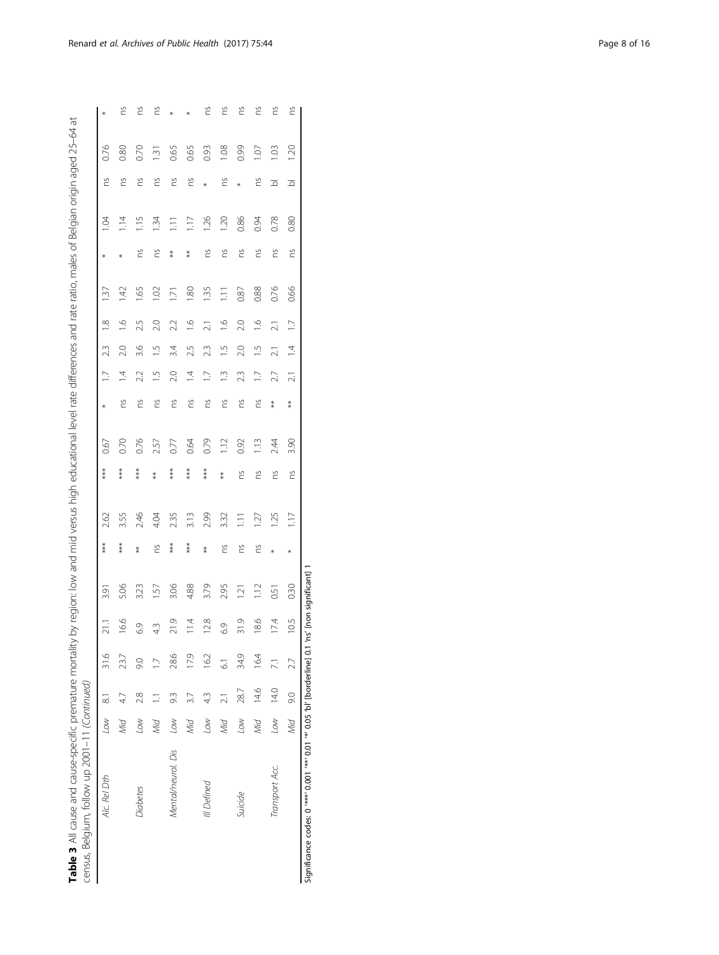| Table 3 All cause and cause-specific premature mortality by region: low and mid versus high educational level rate differences and rate ratio, males of Belgian origin aged 25-64 at<br>census, Belgium, follow up 2001-11 (Continued) |            |                     |                  |      |             |        |               |       |      |       |                 |                  |                  |                |        |               |        |                 |        |
|----------------------------------------------------------------------------------------------------------------------------------------------------------------------------------------------------------------------------------------|------------|---------------------|------------------|------|-------------|--------|---------------|-------|------|-------|-----------------|------------------|------------------|----------------|--------|---------------|--------|-----------------|--------|
| Alc. Rel Dth                                                                                                                                                                                                                           | LOW        | $\overline{\infty}$ | $\frac{31.6}{5}$ | 21.1 | 3.91        | ***    | 2.62          | ***   | 0.67 | *     | $\overline{1}$  | 23               | œ                | $\cdot$ 37     | *      | Ξ.            | ns     | 0.76            | $\ast$ |
|                                                                                                                                                                                                                                        | Nid        | 47                  | 23.7             | 16.6 | 5.06        | ***    | 3.55          | ***   | 0.70 | ms    | $\overline{4}$  | 2.0              | $\frac{9}{1}$    | F,             | $\ast$ | $\frac{1}{4}$ | ms     | 80              | rs     |
| Diabetes                                                                                                                                                                                                                               | LOW        | 2.8                 | 9.0              | 6.9  | 3.23        | $*$    | 2.46          | ***   | 0.76 | ns    | 22              | 3.6              | 2.5              | 65             | č      | 115           | ns     | 0.70            | rs     |
|                                                                                                                                                                                                                                        | Nid        |                     |                  | 4.3  | $-57$       | č      | 4.04          | **    | 2.57 | ns    | $\frac{5}{1}$   | $\frac{5}{1}$    | 2.0              | S              | ns     | 1.34          | ns     | $\bar{2}$       | rs     |
| Mental/neurol. Dis                                                                                                                                                                                                                     | Low        | 93                  | 28.6             | 21.9 | 3.06        | ***    | 2.35          | ***   | 0.77 | ns    | 20              | 3.4              | 2.2              | ĒΙ             | $*$    | Ξ             | ns     | 0.65            | ×      |
|                                                                                                                                                                                                                                        | Nid        | 37                  | 17.9             | 11.4 | 4.88        | ***    | 3.13          | ***   | 0.64 | ns    | $\overline{4}$  | 2.5              | $\frac{0}{1}$    | .80            | ∗      | <b>ELI</b>    | ns     | 0.65            |        |
| Ill Defined                                                                                                                                                                                                                            | <b>NO7</b> | 43                  | 16.2             | 12.8 | 3.79        | $\ast$ | 2.99          | ***   | 0.79 | ns    | $\Box$          | 23               | $\overline{2.1}$ | 35             | ns     | 1.26          | $\ast$ | 0.93            | rs     |
|                                                                                                                                                                                                                                        | Nid        |                     | $\overline{6}$   | 6.9  | 2.95        | rs     | 3.32          | $* *$ | 1.12 | ns    | $\tilde{=}$     | $\frac{5}{1}$    | $\circ$          | $\overline{a}$ | č      | $-20$         | ns     | $\frac{8}{2}$   | rs     |
| Suicide                                                                                                                                                                                                                                | <b>MO7</b> | 28.7                | 34.9             | 31.9 | $\bar{\Xi}$ | č      | $\Xi$         | ns    | 0.92 | ns    | 23              | 2.0              | 2.0              | 0.87           | ms     | 0.86          |        | 0.99            | S      |
|                                                                                                                                                                                                                                        | Nid        | 14.6                | 164              | 18.6 | 1.12        | č      | 1.27          | ns    | 1.13 | ns    | $\overline{1}$  | $\frac{5}{1}$    | $\frac{6}{1}$    | 0.88           | rs     | 0.94          | ns     | $\overline{10}$ | rs     |
| Transport Acc.                                                                                                                                                                                                                         | <b>NO7</b> | 14.0                | $\overline{71}$  | 17.4 | 0.51        | *      | 1.25          | ns    | 2.44 | $* *$ | 27              | $\overline{2.1}$ | $\overline{21}$  | 0.76           | ms     | 0.78          | ᇰ      | $\ddot{\circ}$  | rs     |
|                                                                                                                                                                                                                                        | Nid        | 9.0                 | 2.7              | 10.5 | 0.30        |        | $\frac{1}{2}$ | ns    | 3.90 | $* *$ | $\overline{21}$ | $\overline{4}$   | $\overline{1}$   | 0.66           | ns     | 0.80          | ᇰ      | 1.20            | č      |

Significance codes: 0 "\*\*\* 0.001 "\* 0.01 " 0.05 'bl' [borderline] 0.1 'ns' [non significant] 1 Significance codes: 0 '\*\*\*' 0.001 '\*\*' 0.01 '\*' 0.05 'bl' [borderline] 0.1 'ns' [non significant] 1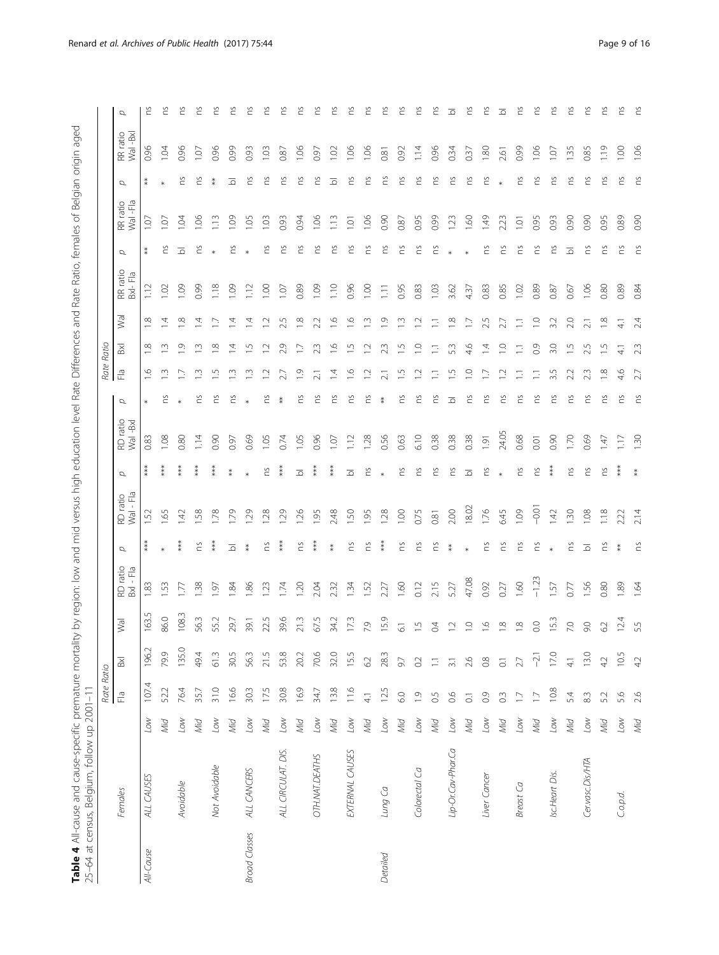Table 4 All-cause and cause-specific premature mortality by region: low and mid versus high education level Rate Differences and Rate Ratio, females of Belgian origin aged<br>After a construct for a construction of the constr Table 4 All-cause and cause-specific premature mortality by region: low and mid versus high education level Rate Differences and Rate Ratio, females of Belgian origin aged

<span id="page-8-0"></span>

|                      | 25-64 at census, Belgium, follow up 2001-11 |              |                         |                             |                         |                                                                                                                     |       |                                      |          |                        |          |                       |                         |                      |                     |                    |                         |   |                        |    |
|----------------------|---------------------------------------------|--------------|-------------------------|-----------------------------|-------------------------|---------------------------------------------------------------------------------------------------------------------|-------|--------------------------------------|----------|------------------------|----------|-----------------------|-------------------------|----------------------|---------------------|--------------------|-------------------------|---|------------------------|----|
|                      |                                             |              | Rate Ratio              |                             |                         |                                                                                                                     |       |                                      |          |                        |          | Rate Ratio            |                         |                      |                     |                    |                         |   |                        |    |
|                      | Females                                     |              | $\frac{\alpha}{\Box}$   | $\mathbb{B}\times$          | $\overline{\mathbb{R}}$ | ratio<br>$\frac{1}{\sqrt{2}}$<br>$\mathop \mathrel{\odot}\limits_{}^{\mathrel{\mathop{\cup}}\limits}$<br>$B \times$ | σ     | $Wal - Fal$<br>ratio<br>$\mathbb{R}$ | $\sigma$ | RD ratio<br>$Wal - Bx$ | $\sigma$ | $\frac{\alpha}{\Box}$ | $\overline{\mathbb{R}}$ | $\overline{\leq}$    | RR ratio<br>Bxl-Fla | σ                  | $W$ al -Fla<br>RR ratio | σ | $Wal - Bx$<br>RR ratio | σ  |
| All-Cause            | ALL CAUSES                                  | VO7          | 107.4                   | 196.2                       | 163.5                   | 83                                                                                                                  | ***   | S.                                   | ***      | 0.83                   |          | Q.                    | $\frac{8}{10}$          | $\frac{8}{1}$        | 1.12                | $*$                | 1.07                    |   | 0.96                   | č  |
|                      |                                             | Nid          | 52.2                    | 79.9                        | 86.0                    | 53                                                                                                                  |       | 65                                   | ***      | $\infty$               | č        | m.                    | m.                      | $\bar{z}$            | 1.02                | N                  | 1.07                    |   | 1.04                   | č  |
|                      | Avoidable                                   | $_{\rm low}$ | 76.4                    | 135.0                       | 108.3                   | 77                                                                                                                  | ***   | 42                                   | $* *$    | 0.80                   |          |                       | $\frac{1}{2}$           | $\frac{8}{10}$       | 1.09                | ᇰ                  | ĪЭ                      | š | 0.96                   | č  |
|                      |                                             | Nid          | 35.7                    | 49.4                        | 56.3                    | $\frac{38}{2}$                                                                                                      | č     | 58                                   |          | $\overline{4}$         | č        | Ċ.                    | Ċ.                      | $\overline{4}$       | 0.99                | č                  | 1.06                    | č | 1.07                   | č  |
|                      | Not Avoidable                               | $_{\rm low}$ | 31.0                    | 61.3                        | 55.2                    | 97                                                                                                                  | $***$ | 78.                                  | ł        | 0.90                   | č        | LN.                   | œ.                      | ⊵                    | 1.18                | $\mathbf{\hat{x}}$ | $\frac{3}{2}$           | Ï | 0.96                   | Ξ  |
|                      |                                             | Nid          | 16.6                    | 30.5                        | 29.7                    | S2                                                                                                                  | ᇰ     | У9                                   |          | 0.97                   | č        | Ŵ.                    | 4.                      | $\overline{4}$       | 1.09                | š                  | 0.109                   | ᇰ | 0.99                   | č  |
| <b>Broad Classes</b> | ALL CANCERS                                 | $_{\rm low}$ | 30.3                    | 56.3                        | 39.1                    | 86                                                                                                                  | ł,    | 56.                                  |          | 0.69                   |          | m.                    | LU.                     | $\bar{4}$            | 112                 | $\star$            | 1.05                    | č | 0.93                   | Ξ  |
|                      |                                             | Nid          | 17.5                    | 21.5                        | 22.5                    | 23                                                                                                                  | č     | 28                                   | č        | $\overline{c}$         | č        | Ņ                     | $\overline{12}$         | $\overline{1}$ .     | 001                 | č                  | 1.03                    | č | 1.03                   | č  |
|                      | ALL CIRCULAT. DIS.                          | Low          | 30.8                    | 53.8                        | 39.6                    | $\overline{7}$                                                                                                      | $***$ | 56.                                  | 美米米      | 0.74                   | 类        |                       | 2.9                     | Lņ                   | 107                 | č                  | 0.93                    | č | 0.87                   | č  |
|                      |                                             | Nid          | 16.9                    | 20.2                        | 21.3                    | $\tilde{\varepsilon}$                                                                                               | č     | 1.26                                 | ᇰ        | 8.                     | č        | O)                    | $\overline{z}$          | $\frac{8}{1}$        | 0.89                | š                  | 0.94                    | č | 1.06                   | č  |
|                      | OTH.NAT.DEATHS                              | Low          | 34.7                    | 70.6                        | 67.5                    | 2.04                                                                                                                | $***$ | 95                                   | ł        | 0.96                   | č        | ಸ                     | 23                      | 2.2                  | 1.09                | č                  | 1.06                    | č | 0.97                   | č  |
|                      |                                             | Nid          | 13.8                    | 32.0                        | 34.2                    | 2.32                                                                                                                | **    | 2.48                                 | ***      | S.                     | č        | 4                     | $\frac{8}{10}$          | $\frac{6}{1}$        | 1.10                | S                  | 1.13                    | ᇰ | 1.02                   | č  |
|                      | EXTERNAL CAUSES                             | $_{\rm low}$ | 11.6                    | 15.5                        | 17.3                    | $\ddot{z}$                                                                                                          | č     | 50                                   | ᇰ        | $\Xi$                  | č        | Q                     | LN.                     | $\frac{8}{10}$       | 0.96                | S                  | $\overline{101}$        | č | 0.06                   | E  |
|                      |                                             | Nid          | $\frac{1}{4}$           | 6.2                         | 7.9                     | 52                                                                                                                  | ΣU    | 95                                   | Ξ        | 28                     | Ξ        |                       | $\supseteq$             | $\frac{3}{2}$        | 1.00                | š                  | 1.06                    | š | 1.06                   | Ξ  |
| Detailed             | Lung Ca                                     | $_{\rm low}$ | 12.5                    | 28.3                        | 15.9                    | 2.27                                                                                                                | $***$ | 28                                   |          | 0.56                   | 娄        | ಸ                     | 3<br>N                  | $\overline{0}$       | $\Xi$               | č                  | 0.90                    | S | 0.81                   | Ξ  |
|                      |                                             | Nid          | $\mathbb{S}^0$          | $60$                        | $\overline{6}$          | $\infty$                                                                                                            | ΣU    | S                                    | Ξ        | 0.63                   | č        | ب                     | LN.                     | $\tilde{\mathbf{C}}$ | 0.95                | č                  | 0.87                    | S | 0.92                   | č  |
|                      | Colorectal Ca                               | $_{\rm low}$ | $\overline{\mathrm{o}}$ | $\rm _{O}$                  | $\frac{5}{1}$           | 0.12                                                                                                                | č     | 0.75                                 | č        | 6.10                   | č        |                       | $\supseteq$             | $\overline{12}$      | 0.83                | š                  | 0.95                    | š | 1.14                   | č  |
|                      |                                             | Nid          | 0.5                     | $\Box$                      | $\ddot{\alpha}$         | 2.15                                                                                                                | ns    | 0.81                                 | č        | 0.38                   | č        | π                     | Ξ                       | Ξ                    | 1.03                | č                  | 0.99                    | č | 0.96                   | č  |
|                      | Lip-Or.Cav-Phar.Ca                          | Low          | 66                      | $\overline{\mathfrak{Z}}$ l | $\overline{\mathbf{C}}$ | 5.27                                                                                                                | $* *$ | 2.00                                 | č        | 0.38                   | ᇰ        | LN.                   | 53                      | $\frac{8}{1}$        | 3.62                | $\star$            | 1.23                    | č | 0.34                   | 5  |
|                      |                                             | Nid          | $\overline{\text{o}}$   | $2.6$                       | $\supseteq$             | 47.08                                                                                                               | ×,    | 18.02                                | ᇰ        | 0.38                   | č        | Q                     | 4,6                     | D                    | 437                 |                    | 09.1                    | š | 0.37                   | Ξ  |
|                      | Liver Cancer                                | $_{\rm low}$ | $\overline{0}$          | $_{\odot}^{\tiny\mbox{8}}$  | $\overline{9}$          | 0.92                                                                                                                | č     | 1.76                                 | č        | $\widetilde{\circ}$    | č        |                       | $\overline{4}$          | 2.5                  | 0.83                | š                  | 1.49                    | š | 1.80                   |    |
|                      |                                             | Nid          | $\mathfrak{S}$          | $\overline{\circ}$          | $\infty$                | 0.27                                                                                                                | č     | 6.45                                 |          | 24.05                  | č        |                       | $\supseteq$             | 2.7                  | 0.85                | č                  | 2.23                    |   | 2.61                   | 5  |
|                      | Breast Ca                                   | $_{\rm low}$ | $\Box$                  | 27                          | $\approx$               | $\odot$                                                                                                             | č     | 1.09                                 | č        | 0.68                   | č        |                       | Ξ                       | Ξ                    | 1.02                | č                  | $\overline{0}$          | č | 0.99                   | č  |
|                      |                                             | Nid          | $\Box$                  | $-2.1$                      | $\overline{O}$          | $-1.23$                                                                                                             | č     | $-0.01$                              | č        | 0.01                   | č        |                       | $\overline{0}$          | $\overline{0}$       | 0.89                | š                  | 0.95                    | š | 1.06                   | č  |
|                      | Isc.Heart Dis.                              | VO7          | $10.8$                  | 17.0                        | 15.3                    | 1.57                                                                                                                |       | $42$                                 | $***$    | 0.90                   | č        | Lŋ.                   | 3.0                     | 3.2                  | 0.87                | č                  | 0.93                    | č | 1.07                   | č  |
|                      |                                             | Nid          | 5.4                     | $\frac{1}{4}$               | 7.0                     | 0.77                                                                                                                | č     | $\widetilde{\mathcal{E}}$            | č        | $\tilde{\sim}$         | č        | Z                     | $\frac{5}{1}$           | 2.0                  | 0.67                | ᇰ                  | 0.90                    | č | 1.35                   | č  |
|                      | Cer.vasc.Dis/HTA                            | $_{\rm low}$ | 83                      | 13.0                        | 60                      | 56                                                                                                                  | ᇰ     | $\ddot{\circ}$                       | č        | 0.69                   | č        | m                     | 25                      | $\overline{2.1}$     | 1.06                | č                  | 0.90                    | č | 0.85                   | ΣU |
|                      |                                             | Nid          | 52                      | 4.2                         | 62                      | 0.80                                                                                                                | č     | 1.18                                 | Ξ        | 47                     | č        | œ                     | $\frac{5}{1}$           | $\frac{8}{1}$        | 0.80                | S                  | 0.95                    | N | 1.19                   | č  |
|                      | Co.p.d.                                     | LOW          | 5.6                     | 10.5                        | 12.4                    | $89$                                                                                                                |       | 2.22                                 |          | Ξ                      | č        | $\frac{6}{4}$         | ₹                       | $\frac{1}{4}$        | 0.89                | č                  | 0.89                    | č | 0.00                   | č  |
|                      |                                             | Nid          | 26                      | 42                          | 55                      | 1.64                                                                                                                | č     | 2.14                                 |          | 30                     | ns       | 27                    | 2 <sup>3</sup>          | 2.4                  | 0.84                | rs                 | 0.90                    | č | 1.06                   | č  |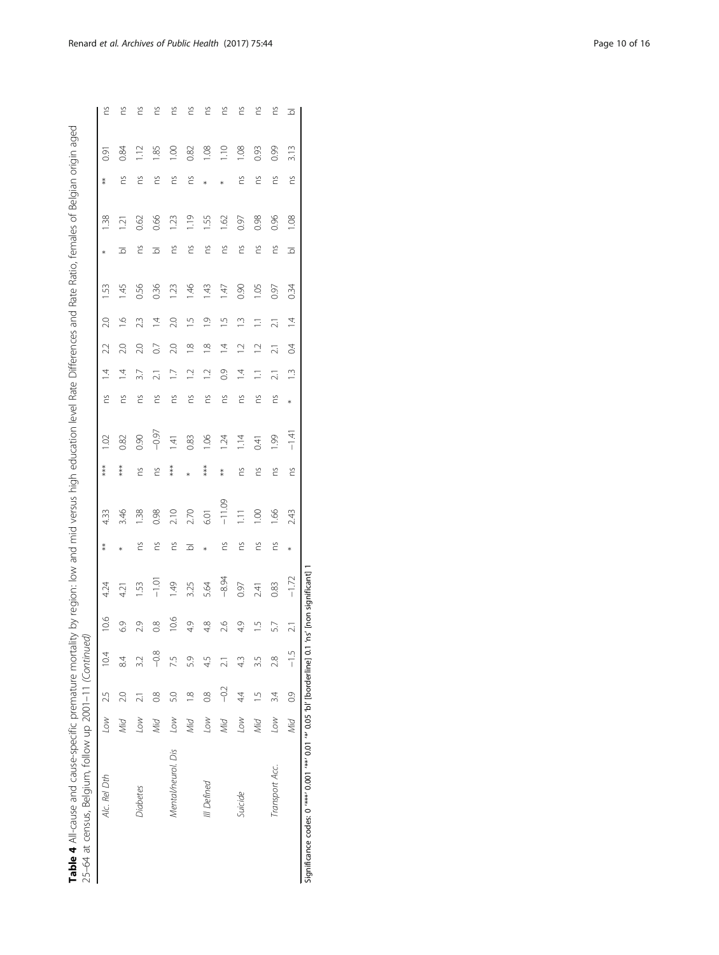| Table 4 All-cause and cause-specific premature mortality by region: low and mid versus high education level Rate Differences and Rate Ratio, females of Belgian origin aged<br>25-64 at census, Belgium, follow up 2001-11 (Continued) |            |               |           |                        |             |        |                           |        |                |    |                  |                |                |      |    |                |    |      |           |
|----------------------------------------------------------------------------------------------------------------------------------------------------------------------------------------------------------------------------------------|------------|---------------|-----------|------------------------|-------------|--------|---------------------------|--------|----------------|----|------------------|----------------|----------------|------|----|----------------|----|------|-----------|
| Alc. Rel Dth                                                                                                                                                                                                                           | $Low$ 2.5  |               | 10.4      | 10.6                   | 4.24        | ∗      | 433                       | ***    | S              | rs | $\overline{4}$   | 22             | 2.0            | 53   | *  | 38             | ∗  | 5.0  | <b>SU</b> |
|                                                                                                                                                                                                                                        | Nid        | 2.0           | $\approx$ | 6.9                    | 4.21        | $\ast$ | 3.46                      | ***    | 0.82           | rs | $\overline{4}$   | 2.0            | $\frac{0}{1}$  | 45   | ᇰ  | $\leq$         | rs | 0.84 | rs        |
| Diabetes                                                                                                                                                                                                                               | <b>NO7</b> |               | 32        | 2.9                    | 53          | č      | 38                        | rs     | 0.90           | rs | 3.7              | 2.0            | 23             | 0.56 | 2U | 0.62           | rs | 112  | rs        |
|                                                                                                                                                                                                                                        | Nid        | $\frac{8}{2}$ | -0.8      | $\frac{8}{2}$          | $-1.01$     | rs     | 0.98                      | rs     | $-0.97$        | rs | $\overline{2.1}$ | $\overline{0}$ | $\overline{4}$ | 0.36 | ᇰ  | 0.66           | rs | 85   | rs        |
| Mental/neurol. Dis                                                                                                                                                                                                                     | Low        | 5.0           | 7.5       | 10.6                   | $rac{4}{3}$ | rs     | 210                       | ***    | $\overline{4}$ | rs | $\overline{11}$  | 2.0            | 2.0            | 1.23 | č  | 1.23           | rs | S.   | rs        |
|                                                                                                                                                                                                                                        | Nid        | $\frac{8}{1}$ | 53        | 4.9                    | 3.25        | 흐      | 270                       | *      | 0.83           | rs | $\overline{1}$   | œ              | $\frac{5}{1}$  | 146  | č  | $\frac{6}{11}$ | rs | 0.82 | rs        |
| Ill Defined                                                                                                                                                                                                                            | LOW        | $\frac{8}{2}$ | 45        | 4.8                    | 5.64        | $\ast$ | 601                       | ***    | 001            | rs | $\overline{1}$   | œ.             | $\frac{1}{2}$  | 1,43 | rs | <b>1.55</b>    | *  | 108  | rs        |
|                                                                                                                                                                                                                                        | Nid        | $-0.2$        | 21        | 2.6                    | $-8.94$     | rs     | $-11.09$                  | $\ast$ | $\ddot{c}$     | rs | $\frac{6}{2}$    | $\overline{4}$ | $\frac{5}{1}$  | 1.47 | 2U | 1.62           | *  | 1.10 | rs        |
| Suicide                                                                                                                                                                                                                                | <b>NOT</b> | $\ddot{4}$    | 43        | 4.9                    | 0.97        | rs     | $\overline{\overline{a}}$ | rs     | 114            | ns | $\overline{4}$   | $\supseteq$    | $\frac{3}{2}$  | 0.90 | rs | 0.97           | rs | 1.08 | rs        |
|                                                                                                                                                                                                                                        | Nid        | $\supseteq$   | 3.5       | $\frac{5}{1}$          | 241         | č      | S                         | rs     | 0.41           | ns | Ξ                | $\tilde{c}$    | Ξ              | 1.05 | ns | 0.98           | rs | 0.93 | rs        |
| Transport Acc.                                                                                                                                                                                                                         | Low        | 34            | 28        | 5.7                    | 0.83        | rs     | $\frac{8}{2}$             | č      | 99             | ns | $\overline{2.1}$ | 21             | $\overline{c}$ | 0.97 | rs | 0.96           | rs | 0.99 | č         |
|                                                                                                                                                                                                                                        | Nid        | 0.9           | $-1.5$    | $\overline{2}$ .       | $-1.72$     | *      | 243                       | ns     | $-1.41$        | *  | $\frac{1}{2}$    | $\overline{0}$ | $\overline{4}$ | 0.34 | ᇰ  | 1.08           | ns | 3.13 | 흐         |
| Significance codes: 0 "***" 0.001 "*" 0.01 "" 0.05 'bl' [borderline] 0.1                                                                                                                                                               |            |               |           | 'ns' [non significant] |             |        |                           |        |                |    |                  |                |                |      |    |                |    |      |           |

Renard et al. Archives of Public Health (2017) 75:44 Page 10 of 16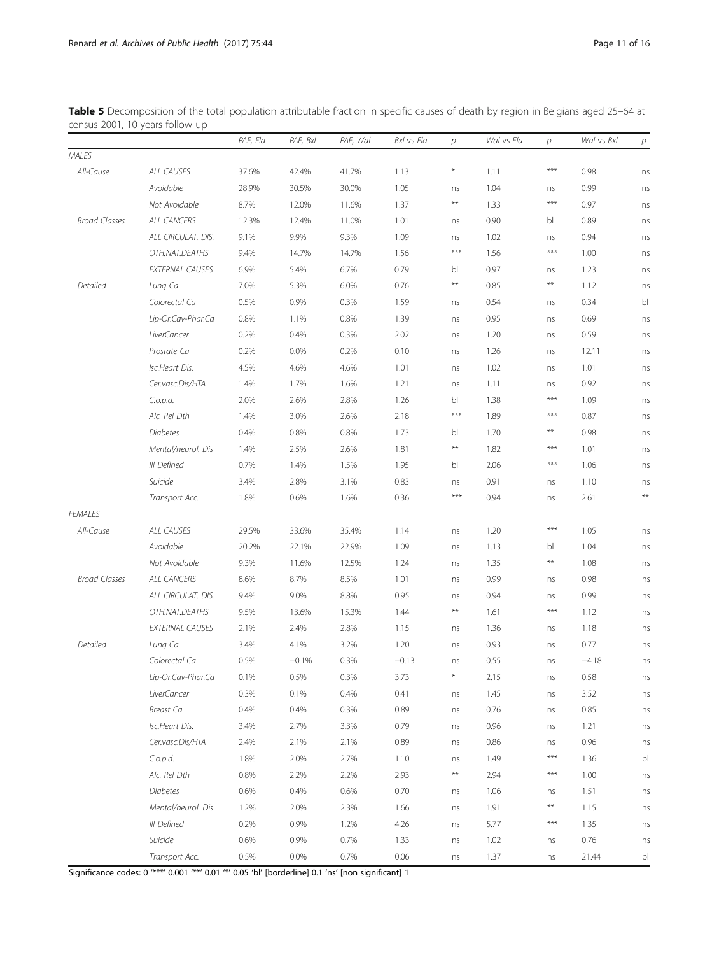<span id="page-10-0"></span>Table 5 Decomposition of the total population attributable fraction in specific causes of death by region in Belgians aged 25-64 at census 2001, 10 years follow up

|                                                     |                    | PAF, Fla | PAF, Bxl | PAF, Wal | Bxl vs Fla | р                      | Wal vs Fla | $\mathcal{P}$ | Wal vs Bxl | $\rho$       |
|-----------------------------------------------------|--------------------|----------|----------|----------|------------|------------------------|------------|---------------|------------|--------------|
| MALES                                               |                    |          |          |          |            |                        |            |               |            |              |
| All-Cause                                           | <b>ALL CAUSES</b>  | 37.6%    | 42.4%    | 41.7%    | 1.13       | $\ast$                 | 1.11       | $***$         | 0.98       | ns           |
|                                                     | Avoidable          | 28.9%    | 30.5%    | 30.0%    | 1.05       | ns                     | 1.04       | ns            | 0.99       | ns           |
|                                                     | Not Avoidable      | 8.7%     | 12.0%    | 11.6%    | 1.37       | $\star\star$           | 1.33       | $***$         | 0.97       | ns           |
| <b>Broad Classes</b>                                | <b>ALL CANCERS</b> | 12.3%    | 12.4%    | 11.0%    | 1.01       | ns                     | 0.90       | bl            | 0.89       | ns           |
|                                                     | ALL CIRCULAT. DIS. | 9.1%     | 9.9%     | 9.3%     | 1.09       | ns                     | 1.02       | ns            | 0.94       | ns           |
|                                                     | OTH.NAT.DEATHS     | 9.4%     | 14.7%    | 14.7%    | 1.56       | $***$                  | 1.56       | $***$         | 1.00       | ns           |
|                                                     | EXTERNAL CAUSES    | 6.9%     | 5.4%     | 6.7%     | 0.79       | bl                     | 0.97       | ns            | 1.23       | ns           |
| Detailed                                            | Lung Ca            | 7.0%     | 5.3%     | 6.0%     | 0.76       | $\pmb{\ast}\pmb{\ast}$ | 0.85       | $\star\star$  | 1.12       | ns           |
|                                                     | Colorectal Ca      | 0.5%     | 0.9%     | 0.3%     | 1.59       | ns                     | 0.54       | ns            | 0.34       | $\mathsf{b}$ |
|                                                     | Lip-Or.Cav-Phar.Ca | 0.8%     | 1.1%     | 0.8%     | 1.39       | ns                     | 0.95       | ns            | 0.69       | ns           |
|                                                     | LiverCancer        | 0.2%     | 0.4%     | 0.3%     | 2.02       | ns                     | 1.20       | ns            | 0.59       | ns           |
|                                                     | Prostate Ca        | 0.2%     | 0.0%     | 0.2%     | 0.10       | ns                     | 1.26       | ns            | 12.11      | ns           |
|                                                     | Isc.Heart Dis.     | 4.5%     | 4.6%     | 4.6%     | 1.01       | ns                     | 1.02       | ns            | 1.01       | ns           |
|                                                     | Cer.vasc.Dis/HTA   | 1.4%     | 1.7%     | 1.6%     | 1.21       | ns                     | 1.11       | ns            | 0.92       | ns           |
|                                                     | C.o.p.d.           | 2.0%     | 2.6%     | 2.8%     | 1.26       | b                      | 1.38       | $***$         | 1.09       | ns           |
|                                                     | Alc. Rel Dth       | 1.4%     | 3.0%     | 2.6%     | 2.18       | $***$                  | 1.89       | $***$         | 0.87       | ns           |
|                                                     | Diabetes           | 0.4%     | 0.8%     | 0.8%     | 1.73       | bl                     | 1.70       | $**$          | 0.98       | ns           |
|                                                     | Mental/neurol. Dis | 1.4%     | 2.5%     | 2.6%     | 1.81       | $\ast\ast$             | 1.82       | $***$         | 1.01       | ns           |
|                                                     | III Defined        | 0.7%     | 1.4%     | 1.5%     | 1.95       | bl                     | 2.06       | $***$         | 1.06       | ns           |
|                                                     | Suicide            | 3.4%     | 2.8%     | 3.1%     | 0.83       | ns                     | 0.91       | ns            | 1.10       | ns           |
| <b>FEMALES</b><br>All-Cause<br><b>Broad Classes</b> | Transport Acc.     | 1.8%     | 0.6%     | 1.6%     | 0.36       | $***$                  | 0.94       | ns            | 2.61       | $**$         |
|                                                     |                    |          |          |          |            |                        |            |               |            |              |
|                                                     | <b>ALL CAUSES</b>  | 29.5%    | 33.6%    | 35.4%    | 1.14       | ns                     | 1.20       | $***$         | 1.05       | ns           |
|                                                     | Avoidable          | 20.2%    | 22.1%    | 22.9%    | 1.09       | ns                     | 1.13       | bl            | 1.04       | ns           |
|                                                     | Not Avoidable      | 9.3%     | 11.6%    | 12.5%    | 1.24       | ns                     | 1.35       | $***$         | 1.08       | ns           |
|                                                     | <b>ALL CANCERS</b> | 8.6%     | 8.7%     | 8.5%     | 1.01       | ns                     | 0.99       | ns            | 0.98       | ns           |
|                                                     | ALL CIRCULAT. DIS. | 9.4%     | 9.0%     | 8.8%     | 0.95       | ns                     | 0.94       | ns            | 0.99       | ns           |
|                                                     | OTH.NAT.DEATHS     | 9.5%     | 13.6%    | 15.3%    | 1.44       | $***$                  | 1.61       | $***$         | 1.12       | ns           |
|                                                     | EXTERNAL CAUSES    | 2.1%     | 2.4%     | 2.8%     | 1.15       | ns                     | 1.36       | ns            | 1.18       | ns           |
| Detailed                                            | Lung Ca            | 3.4%     | 4.1%     | 3.2%     | 1.20       | ns                     | 0.93       | ns            | 0.77       | ns           |
|                                                     | Colorectal Ca      | 0.5%     | $-0.1%$  | 0.3%     | $-0.13$    | ns                     | 0.55       | ns            | $-4.18$    | ns           |
|                                                     | Lip-Or.Cav-Phar.Ca | 0.1%     | 0.5%     | 0.3%     | 3.73       |                        | 2.15       | ns            | 0.58       | ns           |
|                                                     | LiverCancer        | 0.3%     | 0.1%     | 0.4%     | 0.41       | ns                     | 1.45       | ns            | 3.52       | ns           |
|                                                     | Breast Ca          | 0.4%     | 0.4%     | 0.3%     | 0.89       | ns                     | 0.76       | ns            | 0.85       | ns           |
|                                                     | Isc.Heart Dis.     | 3.4%     | 2.7%     | 3.3%     | 0.79       | ns                     | 0.96       | ns            | 1.21       | ns           |
|                                                     | Cer.vasc.Dis/HTA   | 2.4%     | 2.1%     | 2.1%     | 0.89       | ns                     | 0.86       | ns            | 0.96       | ns           |
|                                                     | C.o.p.d.           | 1.8%     | 2.0%     | 2.7%     | 1.10       | ns                     | 1.49       | $***$         | 1.36       | bl           |
|                                                     | Alc. Rel Dth       | 0.8%     | 2.2%     | 2.2%     | 2.93       | $\ast\ast$             | 2.94       | $***$         | 1.00       | ns           |
|                                                     | Diabetes           | 0.6%     | 0.4%     | 0.6%     | 0.70       | ns                     | 1.06       | ns            | 1.51       | ns           |
|                                                     | Mental/neurol. Dis | 1.2%     | 2.0%     | 2.3%     | 1.66       | ns                     | 1.91       | $***$         | 1.15       | ns           |
|                                                     | III Defined        | 0.2%     | 0.9%     | 1.2%     | 4.26       | ns                     | 5.77       | $***$         | 1.35       | ns           |
|                                                     | Suicide            | 0.6%     | 0.9%     | 0.7%     | 1.33       | ns                     | 1.02       | ns            | 0.76       | ns           |
|                                                     | Transport Acc.     | 0.5%     | 0.0%     | 0.7%     | 0.06       | ns                     | 1.37       | ns            | 21.44      | bl           |

Significance codes: 0 '\*\*\*' 0.001 '\*\*' 0.01 '\*' 0.05 'bl' [borderline] 0.1 'ns' [non significant] 1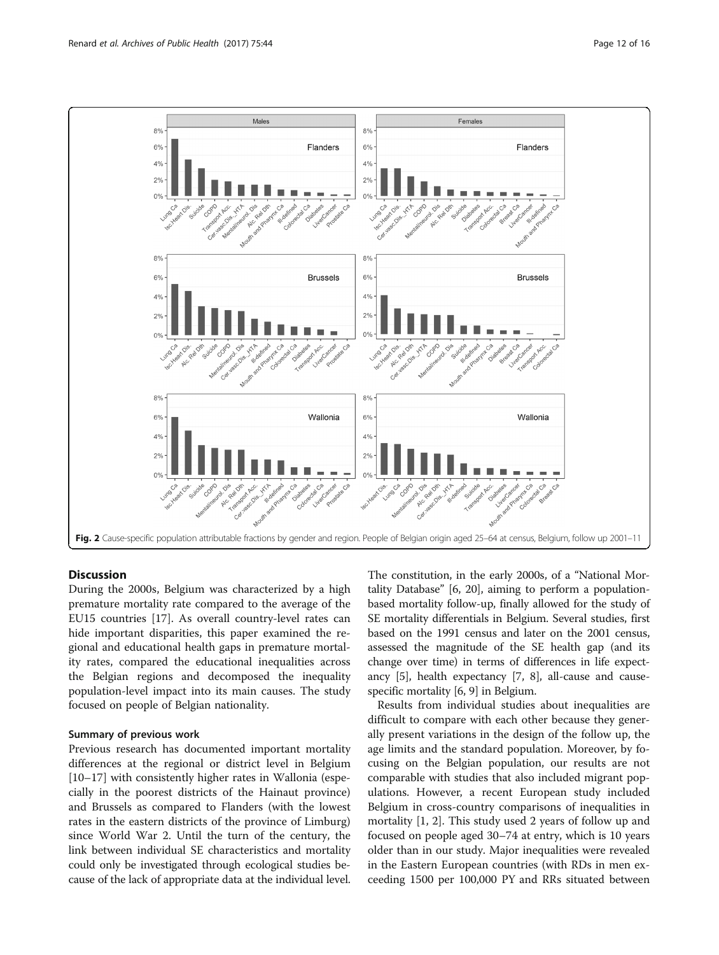<span id="page-11-0"></span>

#### **Discussion**

During the 2000s, Belgium was characterized by a high premature mortality rate compared to the average of the EU15 countries [[17\]](#page-15-0). As overall country-level rates can hide important disparities, this paper examined the regional and educational health gaps in premature mortality rates, compared the educational inequalities across the Belgian regions and decomposed the inequality population-level impact into its main causes. The study focused on people of Belgian nationality.

#### Summary of previous work

Previous research has documented important mortality differences at the regional or district level in Belgium [[10](#page-14-0)–[17](#page-15-0)] with consistently higher rates in Wallonia (especially in the poorest districts of the Hainaut province) and Brussels as compared to Flanders (with the lowest rates in the eastern districts of the province of Limburg) since World War 2. Until the turn of the century, the link between individual SE characteristics and mortality could only be investigated through ecological studies because of the lack of appropriate data at the individual level. The constitution, in the early 2000s, of a "National Mortality Database" [[6,](#page-14-0) [20](#page-15-0)], aiming to perform a populationbased mortality follow-up, finally allowed for the study of SE mortality differentials in Belgium. Several studies, first based on the 1991 census and later on the 2001 census, assessed the magnitude of the SE health gap (and its change over time) in terms of differences in life expectancy [[5\]](#page-14-0), health expectancy [\[7](#page-14-0), [8](#page-14-0)], all-cause and cause-specific mortality [\[6, 9](#page-14-0)] in Belgium.

Results from individual studies about inequalities are difficult to compare with each other because they generally present variations in the design of the follow up, the age limits and the standard population. Moreover, by focusing on the Belgian population, our results are not comparable with studies that also included migrant populations. However, a recent European study included Belgium in cross-country comparisons of inequalities in mortality [\[1](#page-14-0), [2](#page-14-0)]. This study used 2 years of follow up and focused on people aged 30–74 at entry, which is 10 years older than in our study. Major inequalities were revealed in the Eastern European countries (with RDs in men exceeding 1500 per 100,000 PY and RRs situated between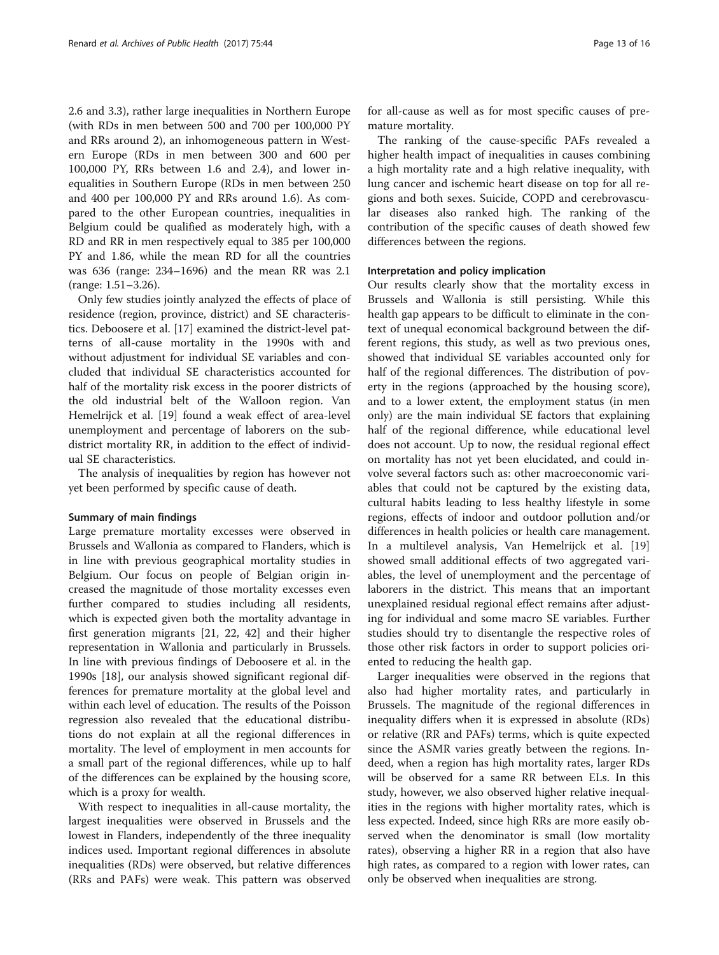2.6 and 3.3), rather large inequalities in Northern Europe (with RDs in men between 500 and 700 per 100,000 PY and RRs around 2), an inhomogeneous pattern in Western Europe (RDs in men between 300 and 600 per 100,000 PY, RRs between 1.6 and 2.4), and lower inequalities in Southern Europe (RDs in men between 250 and 400 per 100,000 PY and RRs around 1.6). As compared to the other European countries, inequalities in Belgium could be qualified as moderately high, with a RD and RR in men respectively equal to 385 per 100,000 PY and 1.86, while the mean RD for all the countries was 636 (range: 234–1696) and the mean RR was 2.1 (range: 1.51–3.26).

Only few studies jointly analyzed the effects of place of residence (region, province, district) and SE characteristics. Deboosere et al. [\[17\]](#page-15-0) examined the district-level patterns of all-cause mortality in the 1990s with and without adjustment for individual SE variables and concluded that individual SE characteristics accounted for half of the mortality risk excess in the poorer districts of the old industrial belt of the Walloon region. Van Hemelrijck et al. [\[19](#page-15-0)] found a weak effect of area-level unemployment and percentage of laborers on the subdistrict mortality RR, in addition to the effect of individual SE characteristics.

The analysis of inequalities by region has however not yet been performed by specific cause of death.

#### Summary of main findings

Large premature mortality excesses were observed in Brussels and Wallonia as compared to Flanders, which is in line with previous geographical mortality studies in Belgium. Our focus on people of Belgian origin increased the magnitude of those mortality excesses even further compared to studies including all residents, which is expected given both the mortality advantage in first generation migrants [[21](#page-15-0), [22](#page-15-0), [42\]](#page-15-0) and their higher representation in Wallonia and particularly in Brussels. In line with previous findings of Deboosere et al. in the 1990s [\[18](#page-15-0)], our analysis showed significant regional differences for premature mortality at the global level and within each level of education. The results of the Poisson regression also revealed that the educational distributions do not explain at all the regional differences in mortality. The level of employment in men accounts for a small part of the regional differences, while up to half of the differences can be explained by the housing score, which is a proxy for wealth.

With respect to inequalities in all-cause mortality, the largest inequalities were observed in Brussels and the lowest in Flanders, independently of the three inequality indices used. Important regional differences in absolute inequalities (RDs) were observed, but relative differences (RRs and PAFs) were weak. This pattern was observed for all-cause as well as for most specific causes of premature mortality.

The ranking of the cause-specific PAFs revealed a higher health impact of inequalities in causes combining a high mortality rate and a high relative inequality, with lung cancer and ischemic heart disease on top for all regions and both sexes. Suicide, COPD and cerebrovascular diseases also ranked high. The ranking of the contribution of the specific causes of death showed few differences between the regions.

#### Interpretation and policy implication

Our results clearly show that the mortality excess in Brussels and Wallonia is still persisting. While this health gap appears to be difficult to eliminate in the context of unequal economical background between the different regions, this study, as well as two previous ones, showed that individual SE variables accounted only for half of the regional differences. The distribution of poverty in the regions (approached by the housing score), and to a lower extent, the employment status (in men only) are the main individual SE factors that explaining half of the regional difference, while educational level does not account. Up to now, the residual regional effect on mortality has not yet been elucidated, and could involve several factors such as: other macroeconomic variables that could not be captured by the existing data, cultural habits leading to less healthy lifestyle in some regions, effects of indoor and outdoor pollution and/or differences in health policies or health care management. In a multilevel analysis, Van Hemelrijck et al. [[19](#page-15-0)] showed small additional effects of two aggregated variables, the level of unemployment and the percentage of laborers in the district. This means that an important unexplained residual regional effect remains after adjusting for individual and some macro SE variables. Further studies should try to disentangle the respective roles of those other risk factors in order to support policies oriented to reducing the health gap.

Larger inequalities were observed in the regions that also had higher mortality rates, and particularly in Brussels. The magnitude of the regional differences in inequality differs when it is expressed in absolute (RDs) or relative (RR and PAFs) terms, which is quite expected since the ASMR varies greatly between the regions. Indeed, when a region has high mortality rates, larger RDs will be observed for a same RR between ELs. In this study, however, we also observed higher relative inequalities in the regions with higher mortality rates, which is less expected. Indeed, since high RRs are more easily observed when the denominator is small (low mortality rates), observing a higher RR in a region that also have high rates, as compared to a region with lower rates, can only be observed when inequalities are strong.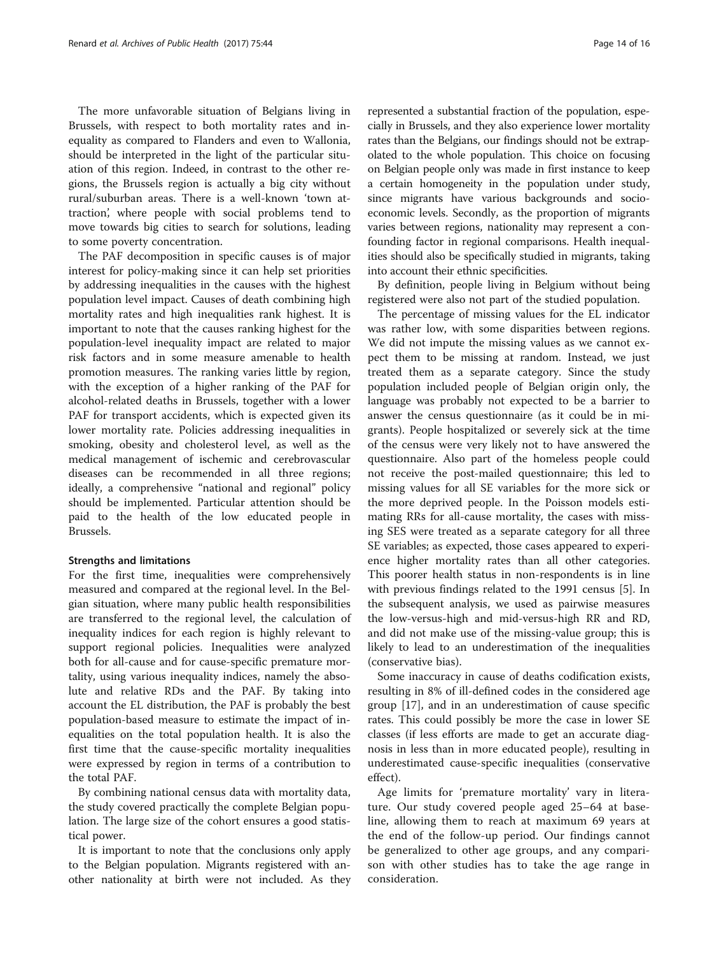The more unfavorable situation of Belgians living in Brussels, with respect to both mortality rates and inequality as compared to Flanders and even to Wallonia, should be interpreted in the light of the particular situation of this region. Indeed, in contrast to the other regions, the Brussels region is actually a big city without rural/suburban areas. There is a well-known 'town attraction', where people with social problems tend to move towards big cities to search for solutions, leading to some poverty concentration.

The PAF decomposition in specific causes is of major interest for policy-making since it can help set priorities by addressing inequalities in the causes with the highest population level impact. Causes of death combining high mortality rates and high inequalities rank highest. It is important to note that the causes ranking highest for the population-level inequality impact are related to major risk factors and in some measure amenable to health promotion measures. The ranking varies little by region, with the exception of a higher ranking of the PAF for alcohol-related deaths in Brussels, together with a lower PAF for transport accidents, which is expected given its lower mortality rate. Policies addressing inequalities in smoking, obesity and cholesterol level, as well as the medical management of ischemic and cerebrovascular diseases can be recommended in all three regions; ideally, a comprehensive "national and regional" policy should be implemented. Particular attention should be paid to the health of the low educated people in Brussels.

#### Strengths and limitations

For the first time, inequalities were comprehensively measured and compared at the regional level. In the Belgian situation, where many public health responsibilities are transferred to the regional level, the calculation of inequality indices for each region is highly relevant to support regional policies. Inequalities were analyzed both for all-cause and for cause-specific premature mortality, using various inequality indices, namely the absolute and relative RDs and the PAF. By taking into account the EL distribution, the PAF is probably the best population-based measure to estimate the impact of inequalities on the total population health. It is also the first time that the cause-specific mortality inequalities were expressed by region in terms of a contribution to the total PAF.

By combining national census data with mortality data, the study covered practically the complete Belgian population. The large size of the cohort ensures a good statistical power.

It is important to note that the conclusions only apply to the Belgian population. Migrants registered with another nationality at birth were not included. As they

represented a substantial fraction of the population, especially in Brussels, and they also experience lower mortality rates than the Belgians, our findings should not be extrapolated to the whole population. This choice on focusing on Belgian people only was made in first instance to keep a certain homogeneity in the population under study, since migrants have various backgrounds and socioeconomic levels. Secondly, as the proportion of migrants varies between regions, nationality may represent a confounding factor in regional comparisons. Health inequalities should also be specifically studied in migrants, taking into account their ethnic specificities.

By definition, people living in Belgium without being registered were also not part of the studied population.

The percentage of missing values for the EL indicator was rather low, with some disparities between regions. We did not impute the missing values as we cannot expect them to be missing at random. Instead, we just treated them as a separate category. Since the study population included people of Belgian origin only, the language was probably not expected to be a barrier to answer the census questionnaire (as it could be in migrants). People hospitalized or severely sick at the time of the census were very likely not to have answered the questionnaire. Also part of the homeless people could not receive the post-mailed questionnaire; this led to missing values for all SE variables for the more sick or the more deprived people. In the Poisson models estimating RRs for all-cause mortality, the cases with missing SES were treated as a separate category for all three SE variables; as expected, those cases appeared to experience higher mortality rates than all other categories. This poorer health status in non-respondents is in line with previous findings related to the 1991 census [\[5](#page-14-0)]. In the subsequent analysis, we used as pairwise measures the low-versus-high and mid-versus-high RR and RD, and did not make use of the missing-value group; this is likely to lead to an underestimation of the inequalities (conservative bias).

Some inaccuracy in cause of deaths codification exists, resulting in 8% of ill-defined codes in the considered age group [[17\]](#page-15-0), and in an underestimation of cause specific rates. This could possibly be more the case in lower SE classes (if less efforts are made to get an accurate diagnosis in less than in more educated people), resulting in underestimated cause-specific inequalities (conservative effect).

Age limits for 'premature mortality' vary in literature. Our study covered people aged 25–64 at baseline, allowing them to reach at maximum 69 years at the end of the follow-up period. Our findings cannot be generalized to other age groups, and any comparison with other studies has to take the age range in consideration.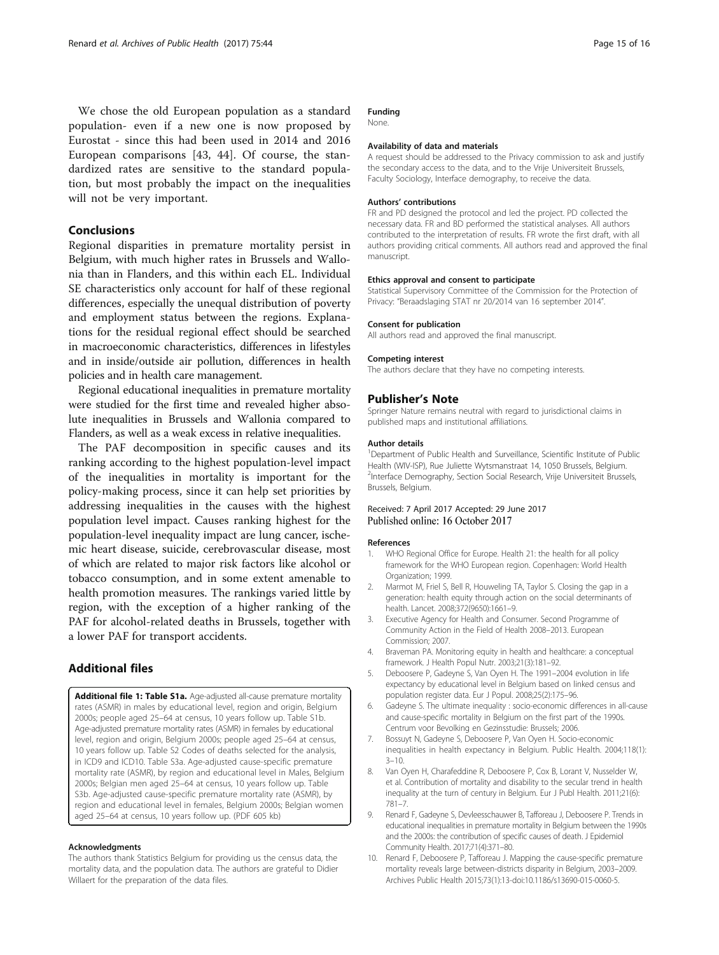<span id="page-14-0"></span>We chose the old European population as a standard population- even if a new one is now proposed by Eurostat - since this had been used in 2014 and 2016 European comparisons [[43, 44](#page-15-0)]. Of course, the standardized rates are sensitive to the standard population, but most probably the impact on the inequalities will not be very important.

#### Conclusions

Regional disparities in premature mortality persist in Belgium, with much higher rates in Brussels and Wallonia than in Flanders, and this within each EL. Individual SE characteristics only account for half of these regional differences, especially the unequal distribution of poverty and employment status between the regions. Explanations for the residual regional effect should be searched in macroeconomic characteristics, differences in lifestyles and in inside/outside air pollution, differences in health policies and in health care management.

Regional educational inequalities in premature mortality were studied for the first time and revealed higher absolute inequalities in Brussels and Wallonia compared to Flanders, as well as a weak excess in relative inequalities.

The PAF decomposition in specific causes and its ranking according to the highest population-level impact of the inequalities in mortality is important for the policy-making process, since it can help set priorities by addressing inequalities in the causes with the highest population level impact. Causes ranking highest for the population-level inequality impact are lung cancer, ischemic heart disease, suicide, cerebrovascular disease, most of which are related to major risk factors like alcohol or tobacco consumption, and in some extent amenable to health promotion measures. The rankings varied little by region, with the exception of a higher ranking of the PAF for alcohol-related deaths in Brussels, together with a lower PAF for transport accidents.

#### Additional files

[Additional file 1: Table S1a.](dx.doi.org/10.1186/s13690-017-0212-x) Age-adjusted all-cause premature mortality rates (ASMR) in males by educational level, region and origin, Belgium 2000s; people aged 25–64 at census, 10 years follow up. Table S1b. Age-adjusted premature mortality rates (ASMR) in females by educational level, region and origin, Belgium 2000s; people aged 25–64 at census, 10 years follow up. Table S2 Codes of deaths selected for the analysis, in ICD9 and ICD10. Table S3a. Age-adjusted cause-specific premature mortality rate (ASMR), by region and educational level in Males, Belgium 2000s; Belgian men aged 25–64 at census, 10 years follow up. Table S3b. Age-adjusted cause-specific premature mortality rate (ASMR), by region and educational level in females, Belgium 2000s; Belgian women aged 25–64 at census, 10 years follow up. (PDF 605 kb)

#### Acknowledgments

The authors thank Statistics Belgium for providing us the census data, the mortality data, and the population data. The authors are grateful to Didier Willaert for the preparation of the data files.

#### Funding

None.

#### Availability of data and materials

A request should be addressed to the Privacy commission to ask and justify the secondary access to the data, and to the Vrije Universiteit Brussels, Faculty Sociology, Interface demography, to receive the data.

#### Authors' contributions

FR and PD designed the protocol and led the project. PD collected the necessary data. FR and BD performed the statistical analyses. All authors contributed to the interpretation of results. FR wrote the first draft, with all authors providing critical comments. All authors read and approved the final manuscript.

#### Ethics approval and consent to participate

Statistical Supervisory Committee of the Commission for the Protection of Privacy: "Beraadslaging STAT nr 20/2014 van 16 september 2014".

#### Consent for publication

All authors read and approved the final manuscript.

#### Competing interest

The authors declare that they have no competing interests.

#### Publisher's Note

Springer Nature remains neutral with regard to jurisdictional claims in published maps and institutional affiliations.

#### Author details

<sup>1</sup>Department of Public Health and Surveillance, Scientific Institute of Public Health (WIV-ISP), Rue Juliette Wytsmanstraat 14, 1050 Brussels, Belgium. <sup>2</sup>Interface Demography, Section Social Research, Vrije Universiteit Brussels Brussels, Belgium.

# Received: 7 April 2017 Accepted: 29 June 2017<br>Published online: 16 October 2017

#### References

- 1. WHO Regional Office for Europe. Health 21: the health for all policy framework for the WHO European region. Copenhagen: World Health Organization; 1999.
- 2. Marmot M, Friel S, Bell R, Houweling TA, Taylor S. Closing the gap in a generation: health equity through action on the social determinants of health. Lancet. 2008;372(9650):1661–9.
- 3. Executive Agency for Health and Consumer. Second Programme of Community Action in the Field of Health 2008–2013. European Commission; 2007.
- 4. Braveman PA. Monitoring equity in health and healthcare: a conceptual framework. J Health Popul Nutr. 2003;21(3):181–92.
- 5. Deboosere P, Gadeyne S, Van Oyen H. The 1991–2004 evolution in life expectancy by educational level in Belgium based on linked census and population register data. Eur J Popul. 2008;25(2):175–96.
- 6. Gadeyne S. The ultimate inequality : socio-economic differences in all-cause and cause-specific mortality in Belgium on the first part of the 1990s. Centrum voor Bevolking en Gezinsstudie: Brussels; 2006.
- 7. Bossuyt N, Gadeyne S, Deboosere P, Van Oyen H. Socio-economic inequalities in health expectancy in Belgium. Public Health. 2004;118(1): 3–10.
- 8. Van Oyen H, Charafeddine R, Deboosere P, Cox B, Lorant V, Nusselder W, et al. Contribution of mortality and disability to the secular trend in health inequality at the turn of century in Belgium. Eur J Publ Health. 2011;21(6): 781–7.
- 9. Renard F, Gadeyne S, Devleesschauwer B, Tafforeau J, Deboosere P. Trends in educational inequalities in premature mortality in Belgium between the 1990s and the 2000s: the contribution of specific causes of death. J Epidemiol Community Health. 2017;71(4):371–80.
- 10. Renard F, Deboosere P, Tafforeau J. Mapping the cause-specific premature mortality reveals large between-districts disparity in Belgium, 2003–2009. Archives Public Health 2015;73(1):13-doi:[10.1186/s13690-015-0060-5](http://dx.doi.org/10.1186/s13690-015-0060-5).